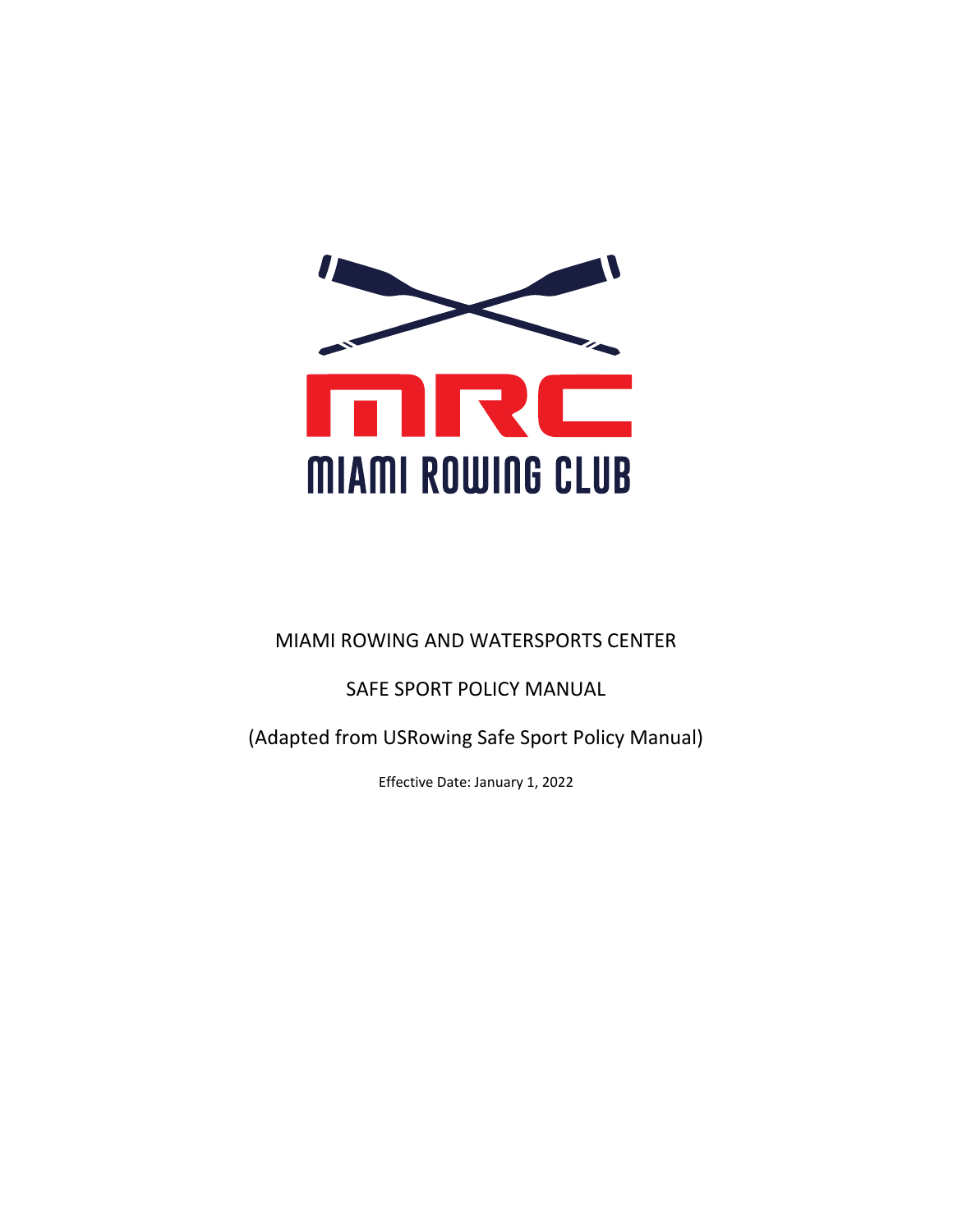

# MIAMI ROWING AND WATERSPORTS CENTER

# SAFE SPORT POLICY MANUAL

(Adapted from USRowing Safe Sport Policy Manual)

Effective Date: January 1, 2022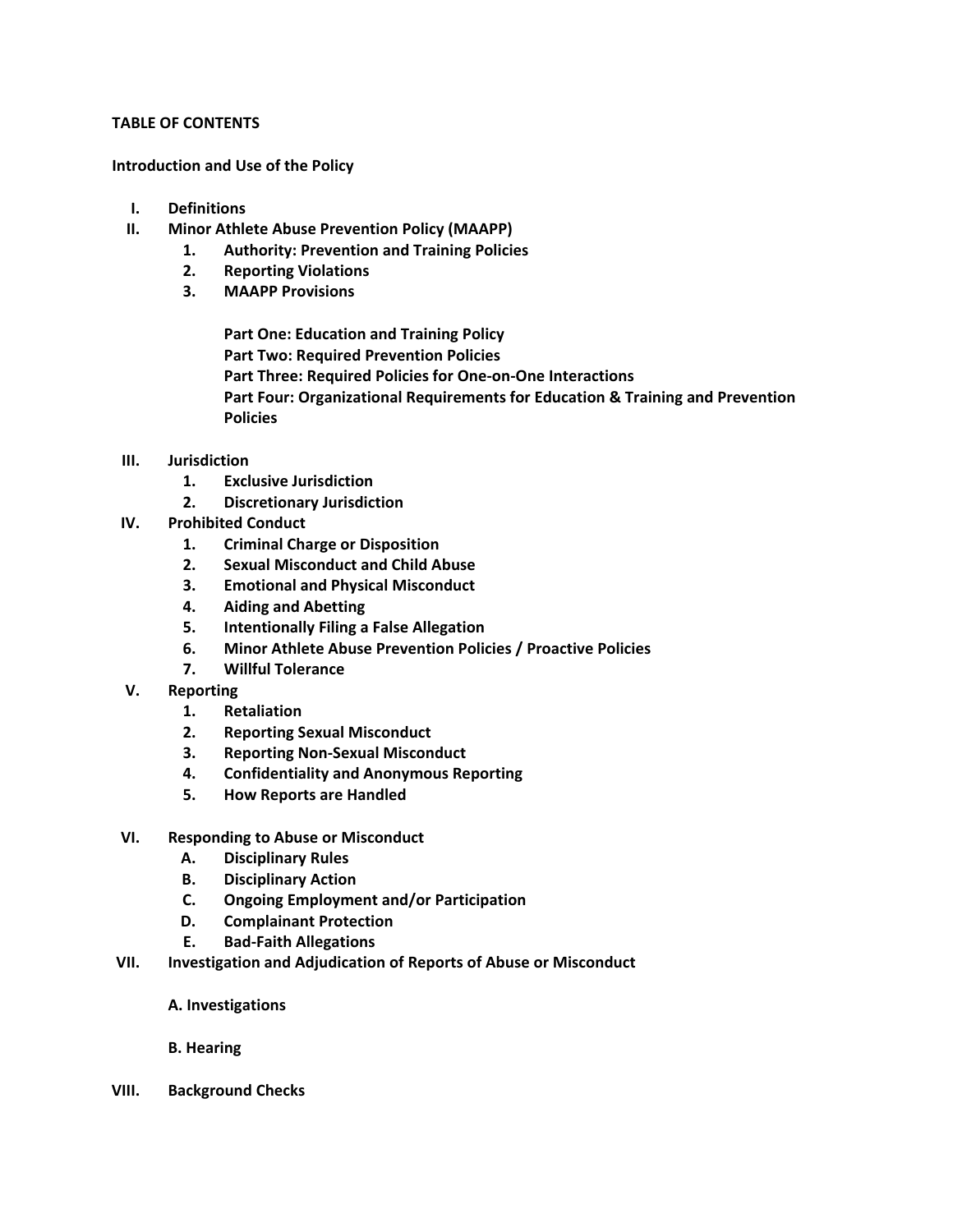# **TABLE OF CONTENTS**

**Introduction and Use of the Policy** 

- **I. Definitions**
- **II. Minor Athlete Abuse Prevention Policy (MAAPP)** 
	- **1. Authority: Prevention and Training Policies** 
		- **2. Reporting Violations**
		- **3. MAAPP Provisions**

**Part One: Education and Training Policy Part Two: Required Prevention Policies Part Three: Required Policies for One-on-One Interactions Part Four: Organizational Requirements for Education & Training and Prevention Policies** 

- **III. Jurisdiction** 
	- **1. Exclusive Jurisdiction**
	- **2. Discretionary Jurisdiction**
- **IV. Prohibited Conduct** 
	- **1. Criminal Charge or Disposition**
	- **2. Sexual Misconduct and Child Abuse**
	- **3. Emotional and Physical Misconduct**
	- **4. Aiding and Abetting**
	- **5. Intentionally Filing a False Allegation**
	- **6. Minor Athlete Abuse Prevention Policies / Proactive Policies**
	- **7. Willful Tolerance**
- **V. Reporting** 
	- **1. Retaliation**
	- **2. Reporting Sexual Misconduct**
	- **3. Reporting Non-Sexual Misconduct**
	- **4. Confidentiality and Anonymous Reporting**
	- **5. How Reports are Handled**
- **VI. Responding to Abuse or Misconduct** 
	- **A. Disciplinary Rules**
	- **B. Disciplinary Action**
	- **C. Ongoing Employment and/or Participation**
	- **D. Complainant Protection**
	- **E. Bad-Faith Allegations**
- **VII. Investigation and Adjudication of Reports of Abuse or Misconduct** 
	- **A. Investigations**
	- **B. Hearing**
- **VIII. Background Checks**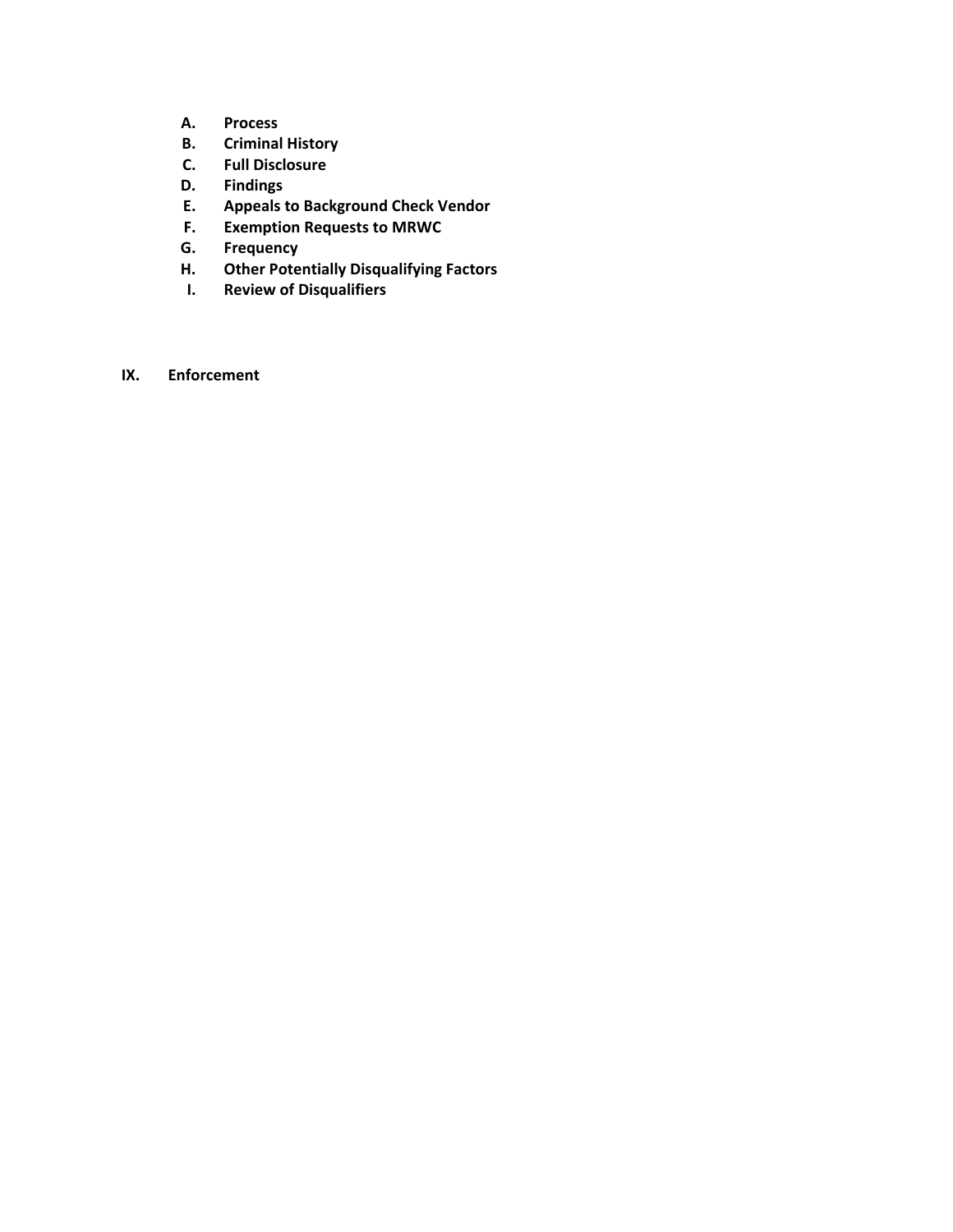- **A. Process**
- **B. Criminal History**
- **C. Full Disclosure**
- **D. Findings**
- **E. Appeals to Background Check Vendor**
- **F. Exemption Requests to MRWC**
- **G. Frequency**
- **H. Other Potentially Disqualifying Factors**
- **I. Review of Disqualifiers**
- **IX. Enforcement**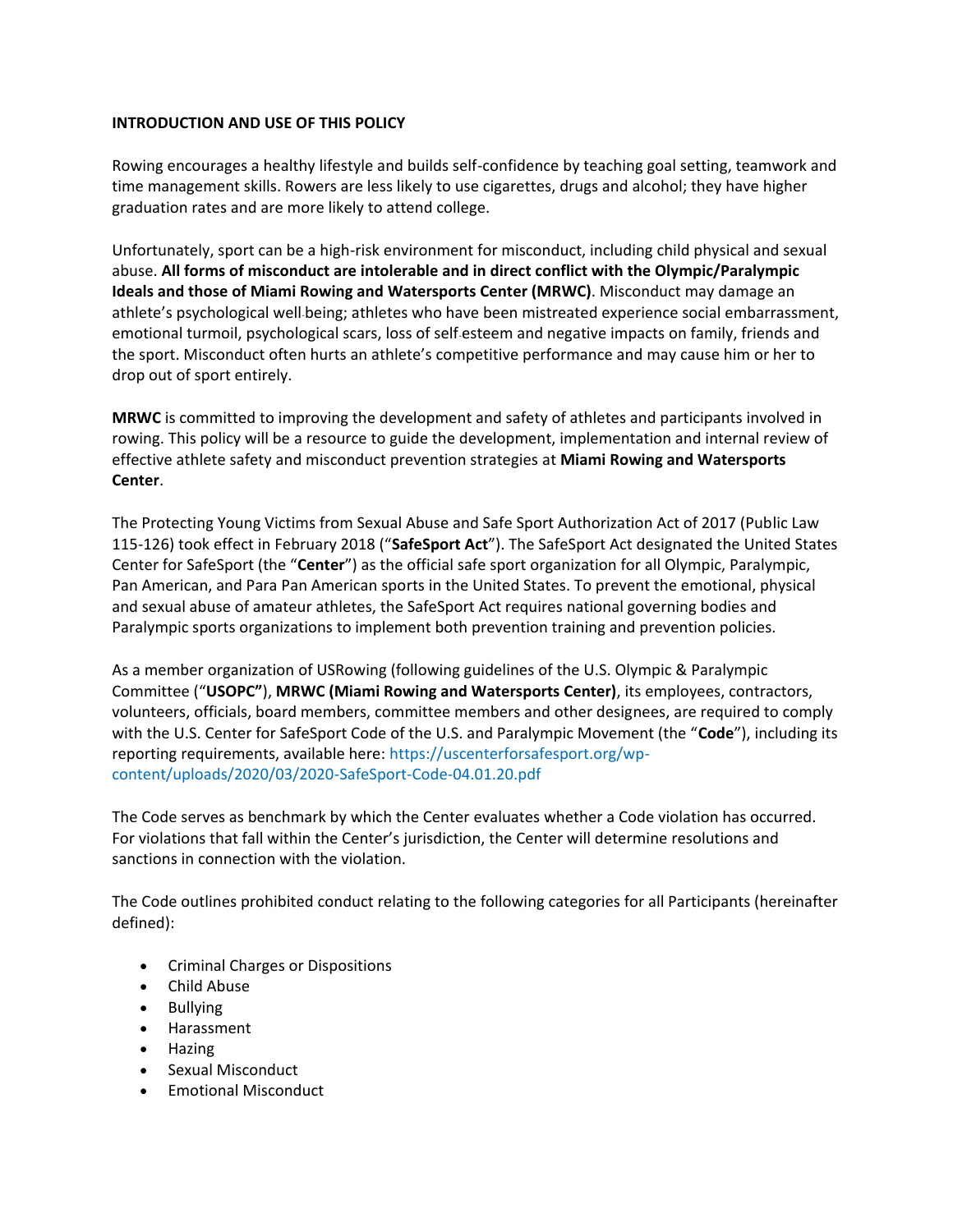# **INTRODUCTION AND USE OF THIS POLICY**

Rowing encourages a healthy lifestyle and builds self-confidence by teaching goal setting, teamwork and time management skills. Rowers are less likely to use cigarettes, drugs and alcohol; they have higher graduation rates and are more likely to attend college.

Unfortunately, sport can be a high-risk environment for misconduct, including child physical and sexual abuse. **All forms of misconduct are intolerable and in direct conflict with the Olympic/Paralympic Ideals and those of Miami Rowing and Watersports Center (MRWC)**. Misconduct may damage an athlete's psychological well-being; athletes who have been mistreated experience social embarrassment, emotional turmoil, psychological scars, loss of self-esteem and negative impacts on family, friends and the sport. Misconduct often hurts an athlete's competitive performance and may cause him or her to drop out of sport entirely.

**MRWC** is committed to improving the development and safety of athletes and participants involved in rowing. This policy will be a resource to guide the development, implementation and internal review of effective athlete safety and misconduct prevention strategies at **Miami Rowing and Watersports Center**.

The Protecting Young Victims from Sexual Abuse and Safe Sport Authorization Act of 2017 (Public Law 115-126) took effect in February 2018 ("**SafeSport Act**"). The SafeSport Act designated the United States Center for SafeSport (the "**Center**") as the official safe sport organization for all Olympic, Paralympic, Pan American, and Para Pan American sports in the United States. To prevent the emotional, physical and sexual abuse of amateur athletes, the SafeSport Act requires national governing bodies and Paralympic sports organizations to implement both prevention training and prevention policies.

As a member organization of USRowing (following guidelines of the U.S. Olympic & Paralympic Committee ("**USOPC"**), **MRWC (Miami Rowing and Watersports Center)**, its employees, contractors, volunteers, officials, board members, committee members and other designees, are required to comply with the U.S. Center for SafeSport Code of the U.S. and Paralympic Movement (the "**Code**"), including its reporting requirements, available here: https://uscenterforsafesport.org/wpcontent/uploads/2020/03/2020-SafeSport-Code-04.01.20.pdf

The Code serves as benchmark by which the Center evaluates whether a Code violation has occurred. For violations that fall within the Center's jurisdiction, the Center will determine resolutions and sanctions in connection with the violation.

The Code outlines prohibited conduct relating to the following categories for all Participants (hereinafter defined):

- Criminal Charges or Dispositions
- Child Abuse
- Bullying
- Harassment
- Hazing
- Sexual Misconduct
- Emotional Misconduct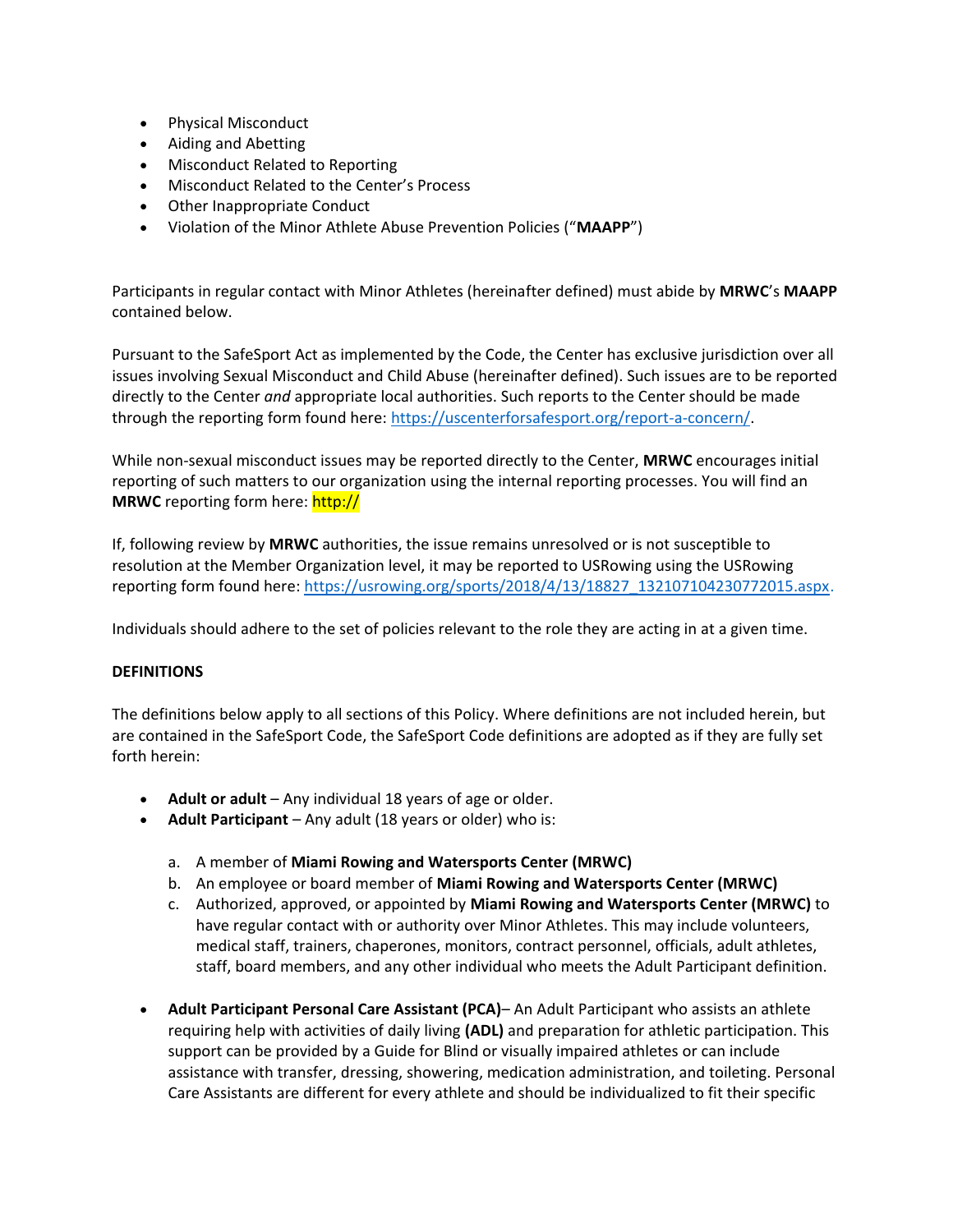- Physical Misconduct
- Aiding and Abetting
- Misconduct Related to Reporting
- Misconduct Related to the Center's Process
- Other Inappropriate Conduct
- Violation of the Minor Athlete Abuse Prevention Policies ("**MAAPP**")

Participants in regular contact with Minor Athletes (hereinafter defined) must abide by **MRWC**'s **MAAPP** contained below.

Pursuant to the SafeSport Act as implemented by the Code, the Center has exclusive jurisdiction over all issues involving Sexual Misconduct and Child Abuse (hereinafter defined). Such issues are to be reported directly to the Center *and* appropriate local authorities. Such reports to the Center should be made through the reporting form found here: https://uscenterforsafesport.org/report-a-concern/.

While non-sexual misconduct issues may be reported directly to the Center, **MRWC** encourages initial reporting of such matters to our organization using the internal reporting processes. You will find an **MRWC** reporting form here: http://

If, following review by **MRWC** authorities, the issue remains unresolved or is not susceptible to resolution at the Member Organization level, it may be reported to USRowing using the USRowing reporting form found here: https://usrowing.org/sports/2018/4/13/18827\_132107104230772015.aspx.

Individuals should adhere to the set of policies relevant to the role they are acting in at a given time.

# **DEFINITIONS**

The definitions below apply to all sections of this Policy. Where definitions are not included herein, but are contained in the SafeSport Code, the SafeSport Code definitions are adopted as if they are fully set forth herein:

- **Adult or adult**  Any individual 18 years of age or older.
- **Adult Participant**  Any adult (18 years or older) who is:
	- a. A member of **Miami Rowing and Watersports Center (MRWC)**
	- b. An employee or board member of **Miami Rowing and Watersports Center (MRWC)**
	- c. Authorized, approved, or appointed by **Miami Rowing and Watersports Center (MRWC)** to have regular contact with or authority over Minor Athletes. This may include volunteers, medical staff, trainers, chaperones, monitors, contract personnel, officials, adult athletes, staff, board members, and any other individual who meets the Adult Participant definition.
- **Adult Participant Personal Care Assistant (PCA)** An Adult Participant who assists an athlete requiring help with activities of daily living **(ADL)** and preparation for athletic participation. This support can be provided by a Guide for Blind or visually impaired athletes or can include assistance with transfer, dressing, showering, medication administration, and toileting. Personal Care Assistants are different for every athlete and should be individualized to fit their specific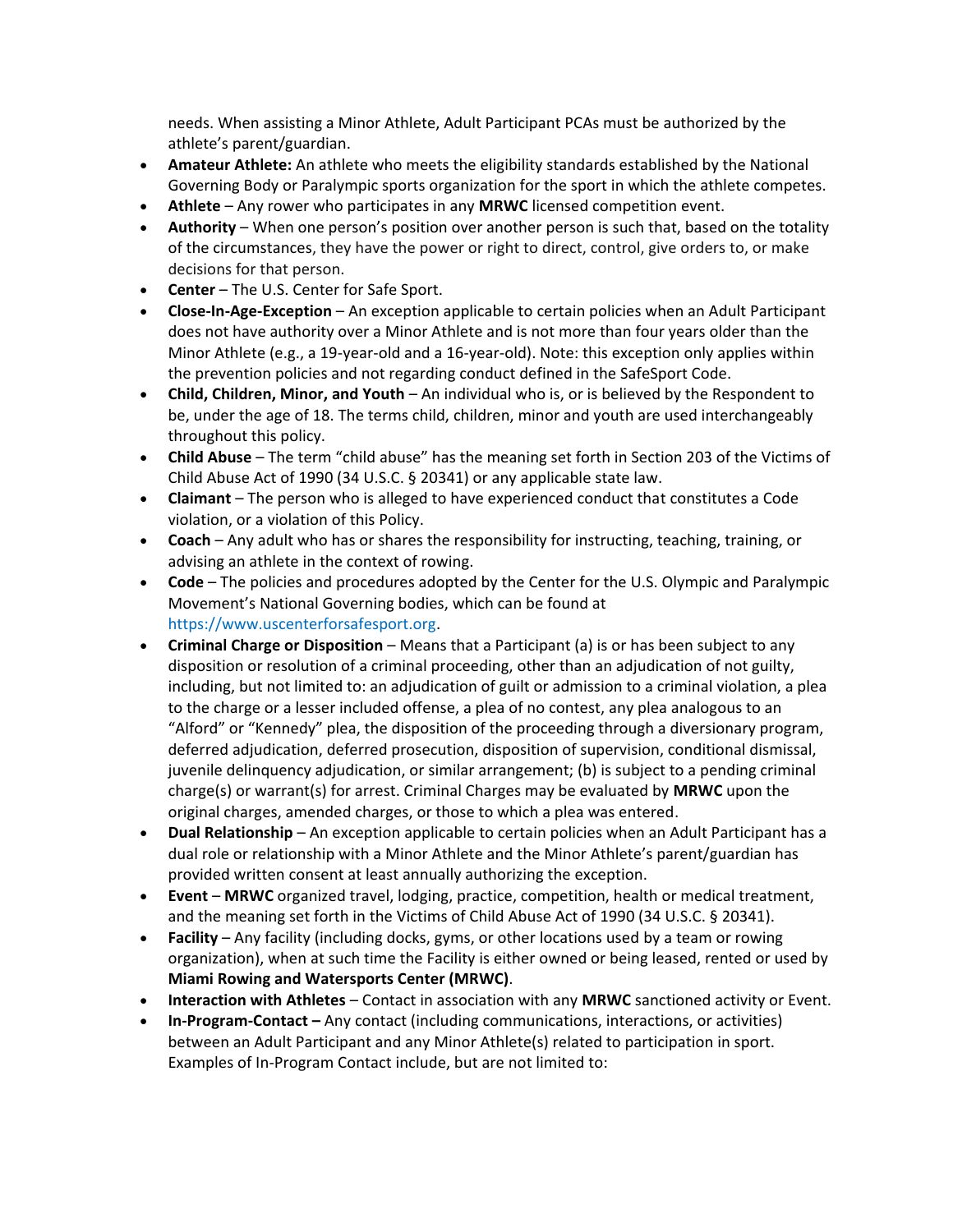needs. When assisting a Minor Athlete, Adult Participant PCAs must be authorized by the athlete's parent/guardian.

- **Amateur Athlete:** An athlete who meets the eligibility standards established by the National Governing Body or Paralympic sports organization for the sport in which the athlete competes.
- **Athlete**  Any rower who participates in any **MRWC** licensed competition event.
- **Authority**  When one person's position over another person is such that, based on the totality of the circumstances, they have the power or right to direct, control, give orders to, or make decisions for that person.
- **Center**  The U.S. Center for Safe Sport.
- **Close-In-Age-Exception**  An exception applicable to certain policies when an Adult Participant does not have authority over a Minor Athlete and is not more than four years older than the Minor Athlete (e.g., a 19-year-old and a 16-year-old). Note: this exception only applies within the prevention policies and not regarding conduct defined in the SafeSport Code.
- **Child, Children, Minor, and Youth**  An individual who is, or is believed by the Respondent to be, under the age of 18. The terms child, children, minor and youth are used interchangeably throughout this policy.
- **Child Abuse**  The term "child abuse" has the meaning set forth in Section 203 of the Victims of Child Abuse Act of 1990 (34 U.S.C. § 20341) or any applicable state law.
- **Claimant**  The person who is alleged to have experienced conduct that constitutes a Code violation, or a violation of this Policy.
- **Coach**  Any adult who has or shares the responsibility for instructing, teaching, training, or advising an athlete in the context of rowing.
- **Code**  The policies and procedures adopted by the Center for the U.S. Olympic and Paralympic Movement's National Governing bodies, which can be found at https://www.uscenterforsafesport.org.
- **Criminal Charge or Disposition**  Means that a Participant (a) is or has been subject to any disposition or resolution of a criminal proceeding, other than an adjudication of not guilty, including, but not limited to: an adjudication of guilt or admission to a criminal violation, a plea to the charge or a lesser included offense, a plea of no contest, any plea analogous to an "Alford" or "Kennedy" plea, the disposition of the proceeding through a diversionary program, deferred adjudication, deferred prosecution, disposition of supervision, conditional dismissal, juvenile delinquency adjudication, or similar arrangement; (b) is subject to a pending criminal charge(s) or warrant(s) for arrest. Criminal Charges may be evaluated by **MRWC** upon the original charges, amended charges, or those to which a plea was entered.
- **Dual Relationship**  An exception applicable to certain policies when an Adult Participant has a dual role or relationship with a Minor Athlete and the Minor Athlete's parent/guardian has provided written consent at least annually authorizing the exception.
- **Event MRWC** organized travel, lodging, practice, competition, health or medical treatment, and the meaning set forth in the Victims of Child Abuse Act of 1990 (34 U.S.C. § 20341).
- **Facility**  Any facility (including docks, gyms, or other locations used by a team or rowing organization), when at such time the Facility is either owned or being leased, rented or used by **Miami Rowing and Watersports Center (MRWC)**.
- **Interaction with Athletes**  Contact in association with any **MRWC** sanctioned activity or Event.
- **In-Program-Contact –** Any contact (including communications, interactions, or activities) between an Adult Participant and any Minor Athlete(s) related to participation in sport. Examples of In-Program Contact include, but are not limited to: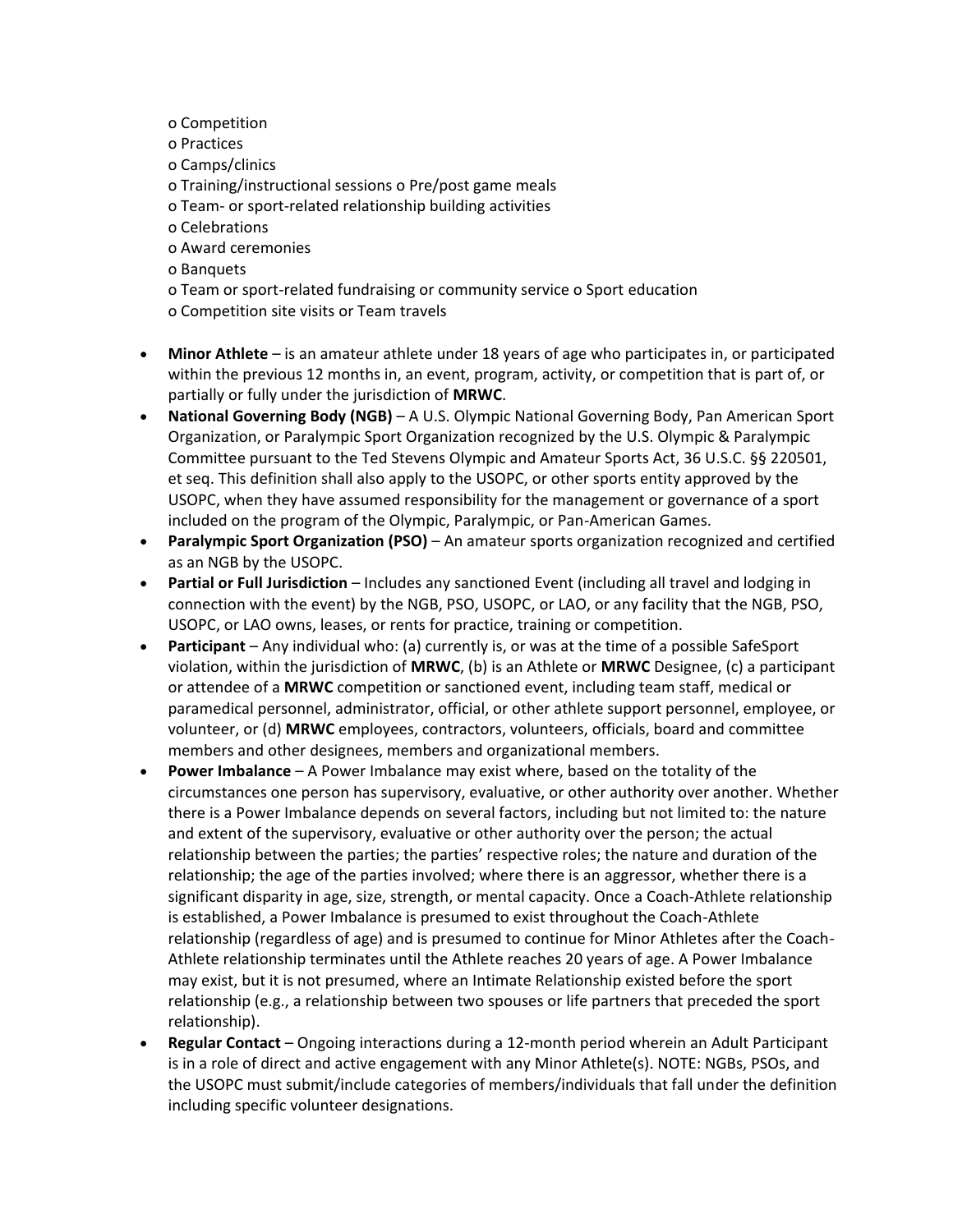- o Competition
- o Practices
- o Camps/clinics
- o Training/instructional sessions o Pre/post game meals
- o Team- or sport-related relationship building activities
- o Celebrations
- o Award ceremonies
- o Banquets
- o Team or sport-related fundraising or community service o Sport education o Competition site visits or Team travels
- **Minor Athlete**  is an amateur athlete under 18 years of age who participates in, or participated within the previous 12 months in, an event, program, activity, or competition that is part of, or partially or fully under the jurisdiction of **MRWC**.
- **National Governing Body (NGB)**  A U.S. Olympic National Governing Body, Pan American Sport Organization, or Paralympic Sport Organization recognized by the U.S. Olympic & Paralympic Committee pursuant to the Ted Stevens Olympic and Amateur Sports Act, 36 U.S.C. §§ 220501, et seq. This definition shall also apply to the USOPC, or other sports entity approved by the USOPC, when they have assumed responsibility for the management or governance of a sport included on the program of the Olympic, Paralympic, or Pan-American Games.
- **Paralympic Sport Organization (PSO)**  An amateur sports organization recognized and certified as an NGB by the USOPC.
- **Partial or Full Jurisdiction**  Includes any sanctioned Event (including all travel and lodging in connection with the event) by the NGB, PSO, USOPC, or LAO, or any facility that the NGB, PSO, USOPC, or LAO owns, leases, or rents for practice, training or competition.
- **Participant**  Any individual who: (a) currently is, or was at the time of a possible SafeSport violation, within the jurisdiction of **MRWC**, (b) is an Athlete or **MRWC** Designee, (c) a participant or attendee of a **MRWC** competition or sanctioned event, including team staff, medical or paramedical personnel, administrator, official, or other athlete support personnel, employee, or volunteer, or (d) **MRWC** employees, contractors, volunteers, officials, board and committee members and other designees, members and organizational members.
- **Power Imbalance**  A Power Imbalance may exist where, based on the totality of the circumstances one person has supervisory, evaluative, or other authority over another. Whether there is a Power Imbalance depends on several factors, including but not limited to: the nature and extent of the supervisory, evaluative or other authority over the person; the actual relationship between the parties; the parties' respective roles; the nature and duration of the relationship; the age of the parties involved; where there is an aggressor, whether there is a significant disparity in age, size, strength, or mental capacity. Once a Coach-Athlete relationship is established, a Power Imbalance is presumed to exist throughout the Coach-Athlete relationship (regardless of age) and is presumed to continue for Minor Athletes after the Coach-Athlete relationship terminates until the Athlete reaches 20 years of age. A Power Imbalance may exist, but it is not presumed, where an Intimate Relationship existed before the sport relationship (e.g., a relationship between two spouses or life partners that preceded the sport relationship).
- **Regular Contact**  Ongoing interactions during a 12-month period wherein an Adult Participant is in a role of direct and active engagement with any Minor Athlete(s). NOTE: NGBs, PSOs, and the USOPC must submit/include categories of members/individuals that fall under the definition including specific volunteer designations.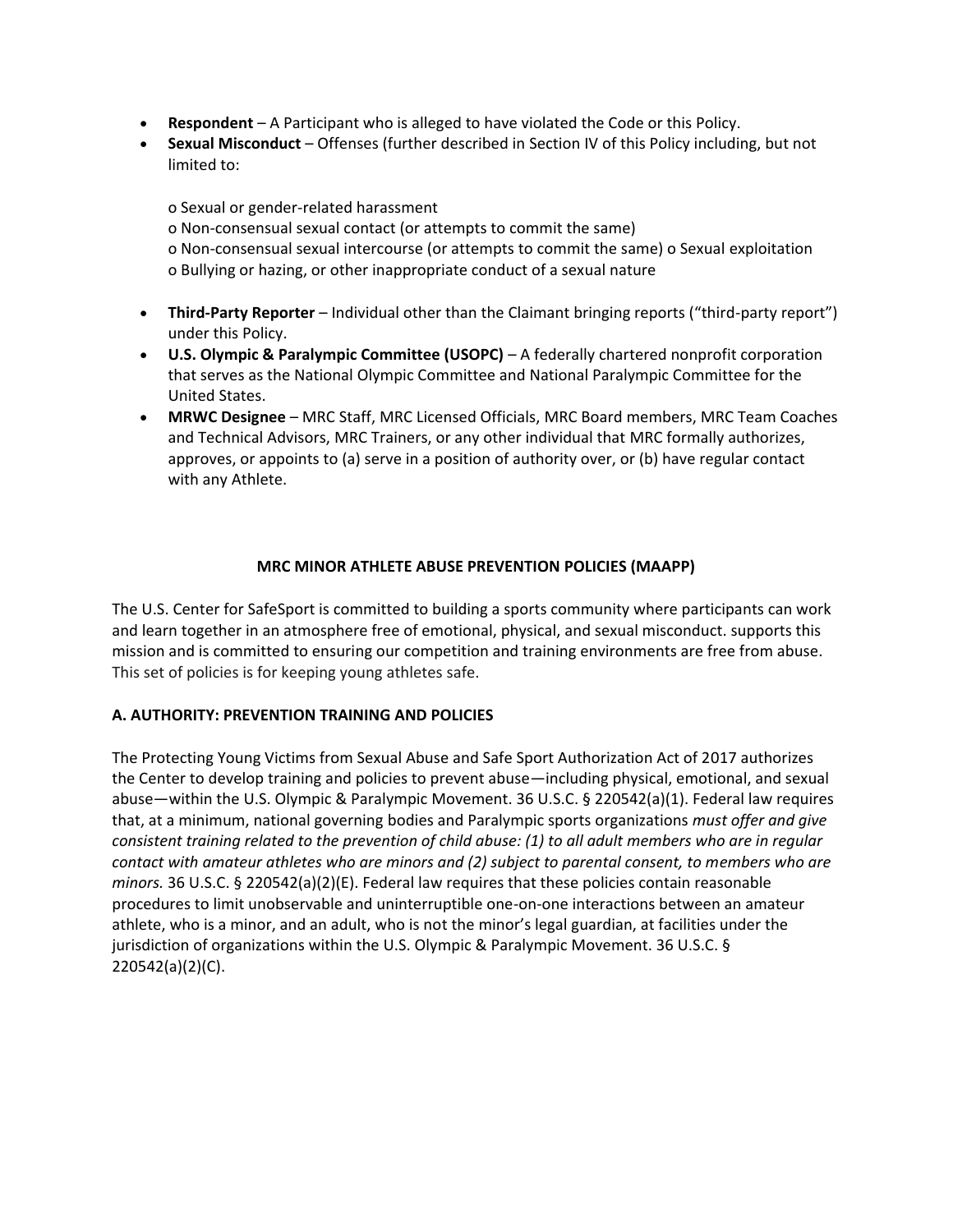- **Respondent**  A Participant who is alleged to have violated the Code or this Policy.
- **Sexual Misconduct**  Offenses (further described in Section IV of this Policy including, but not limited to:

o Sexual or gender-related harassment o Non-consensual sexual contact (or attempts to commit the same) o Non-consensual sexual intercourse (or attempts to commit the same) o Sexual exploitation o Bullying or hazing, or other inappropriate conduct of a sexual nature

- **Third-Party Reporter**  Individual other than the Claimant bringing reports ("third-party report") under this Policy.
- **U.S. Olympic & Paralympic Committee (USOPC)**  A federally chartered nonprofit corporation that serves as the National Olympic Committee and National Paralympic Committee for the United States.
- **MRWC Designee**  MRC Staff, MRC Licensed Officials, MRC Board members, MRC Team Coaches and Technical Advisors, MRC Trainers, or any other individual that MRC formally authorizes, approves, or appoints to (a) serve in a position of authority over, or (b) have regular contact with any Athlete.

# **MRC MINOR ATHLETE ABUSE PREVENTION POLICIES (MAAPP)**

The U.S. Center for SafeSport is committed to building a sports community where participants can work and learn together in an atmosphere free of emotional, physical, and sexual misconduct. supports this mission and is committed to ensuring our competition and training environments are free from abuse. This set of policies is for keeping young athletes safe.

# **A. AUTHORITY: PREVENTION TRAINING AND POLICIES**

The Protecting Young Victims from Sexual Abuse and Safe Sport Authorization Act of 2017 authorizes the Center to develop training and policies to prevent abuse—including physical, emotional, and sexual abuse—within the U.S. Olympic & Paralympic Movement. 36 U.S.C. § 220542(a)(1). Federal law requires that, at a minimum, national governing bodies and Paralympic sports organizations *must offer and give consistent training related to the prevention of child abuse: (1) to all adult members who are in regular contact with amateur athletes who are minors and (2) subject to parental consent, to members who are minors.* 36 U.S.C. § 220542(a)(2)(E). Federal law requires that these policies contain reasonable procedures to limit unobservable and uninterruptible one-on-one interactions between an amateur athlete, who is a minor, and an adult, who is not the minor's legal guardian, at facilities under the jurisdiction of organizations within the U.S. Olympic & Paralympic Movement. 36 U.S.C. § 220542(a)(2)(C).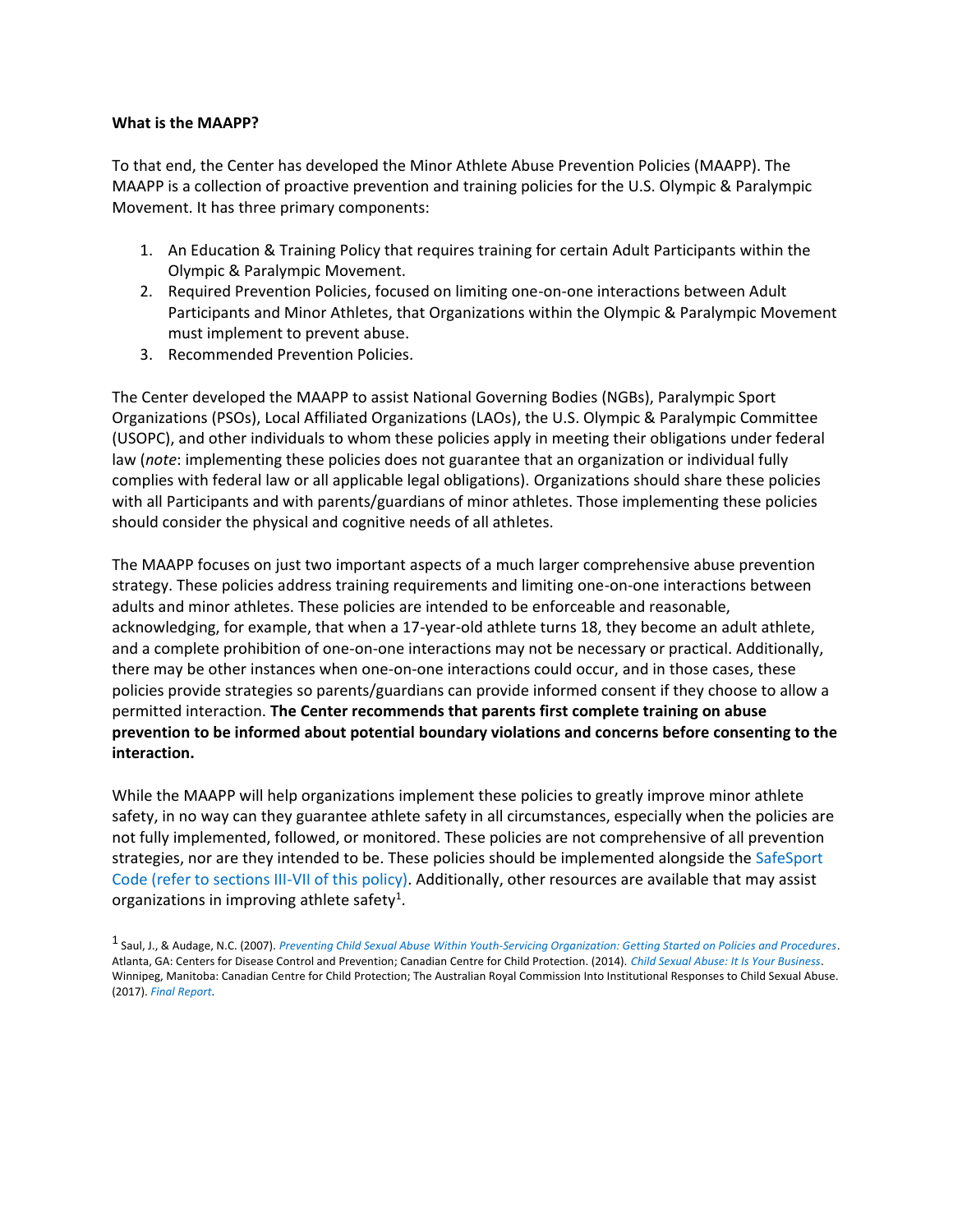#### **What is the MAAPP?**

To that end, the Center has developed the Minor Athlete Abuse Prevention Policies (MAAPP). The MAAPP is a collection of proactive prevention and training policies for the U.S. Olympic & Paralympic Movement. It has three primary components:

- 1. An Education & Training Policy that requires training for certain Adult Participants within the Olympic & Paralympic Movement.
- 2. Required Prevention Policies, focused on limiting one-on-one interactions between Adult Participants and Minor Athletes, that Organizations within the Olympic & Paralympic Movement must implement to prevent abuse.
- 3. Recommended Prevention Policies.

The Center developed the MAAPP to assist National Governing Bodies (NGBs), Paralympic Sport Organizations (PSOs), Local Affiliated Organizations (LAOs), the U.S. Olympic & Paralympic Committee (USOPC), and other individuals to whom these policies apply in meeting their obligations under federal law (*note*: implementing these policies does not guarantee that an organization or individual fully complies with federal law or all applicable legal obligations). Organizations should share these policies with all Participants and with parents/guardians of minor athletes. Those implementing these policies should consider the physical and cognitive needs of all athletes.

The MAAPP focuses on just two important aspects of a much larger comprehensive abuse prevention strategy. These policies address training requirements and limiting one-on-one interactions between adults and minor athletes. These policies are intended to be enforceable and reasonable, acknowledging, for example, that when a 17-year-old athlete turns 18, they become an adult athlete, and a complete prohibition of one-on-one interactions may not be necessary or practical. Additionally, there may be other instances when one-on-one interactions could occur, and in those cases, these policies provide strategies so parents/guardians can provide informed consent if they choose to allow a permitted interaction. **The Center recommends that parents first complete training on abuse prevention to be informed about potential boundary violations and concerns before consenting to the interaction.** 

While the MAAPP will help organizations implement these policies to greatly improve minor athlete safety, in no way can they guarantee athlete safety in all circumstances, especially when the policies are not fully implemented, followed, or monitored. These policies are not comprehensive of all prevention strategies, nor are they intended to be. These policies should be implemented alongside the SafeSport Code (refer to sections III-VII of this policy). Additionally, other resources are available that may assist organizations in improving athlete safety<sup>1</sup>.

<sup>1</sup> Saul, J., & Audage, N.C. (2007). *Preventing Child Sexual Abuse Within Youth-Servicing Organization: Getting Started on Policies and Procedures*. Atlanta, GA: Centers for Disease Control and Prevention; Canadian Centre for Child Protection. (2014). *Child Sexual Abuse: It Is Your Business*. Winnipeg, Manitoba: Canadian Centre for Child Protection; The Australian Royal Commission Into Institutional Responses to Child Sexual Abuse. (2017). *Final Report*.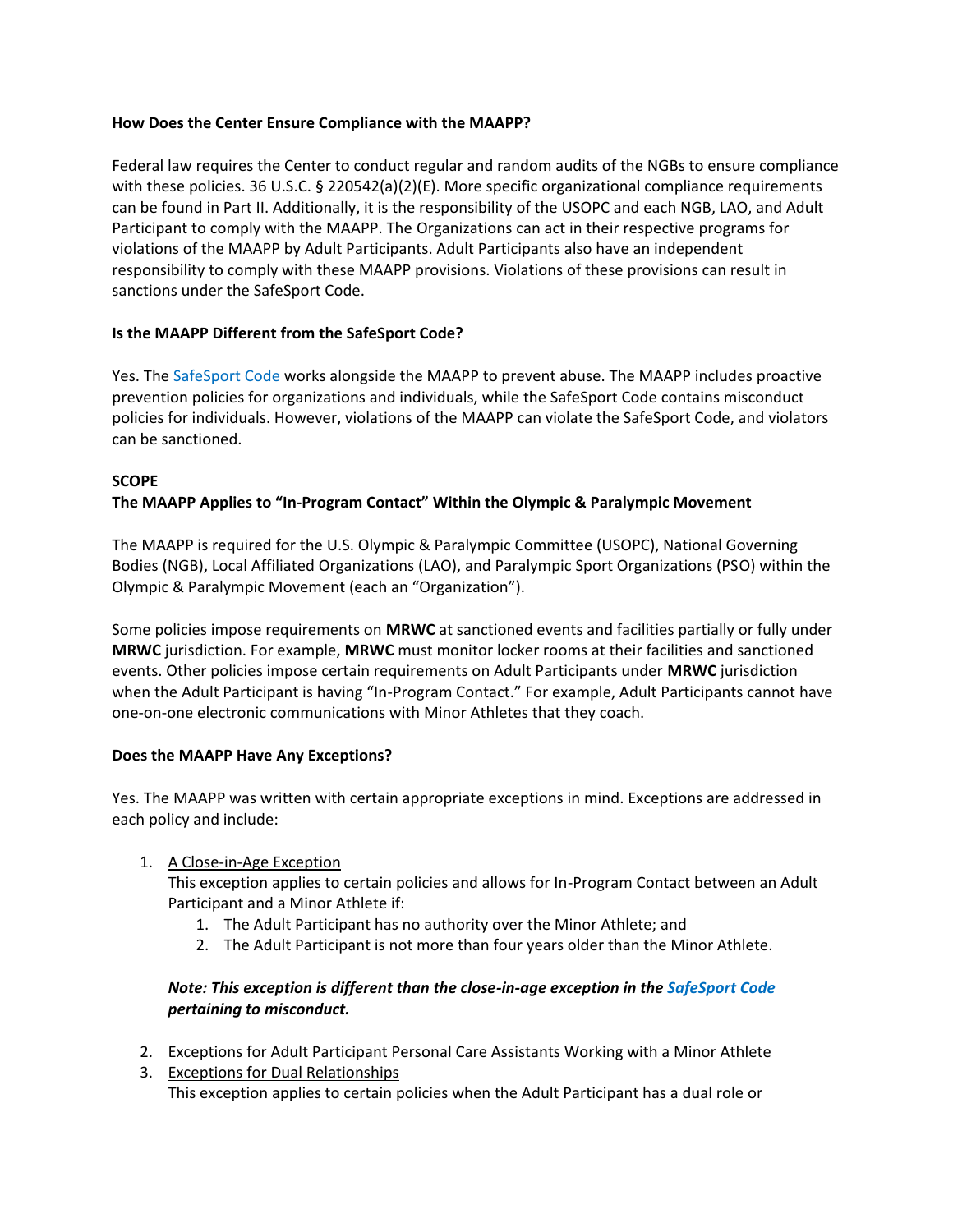# **How Does the Center Ensure Compliance with the MAAPP?**

Federal law requires the Center to conduct regular and random audits of the NGBs to ensure compliance with these policies. 36 U.S.C. § 220542(a)(2)(E). More specific organizational compliance requirements can be found in Part II. Additionally, it is the responsibility of the USOPC and each NGB, LAO, and Adult Participant to comply with the MAAPP. The Organizations can act in their respective programs for violations of the MAAPP by Adult Participants. Adult Participants also have an independent responsibility to comply with these MAAPP provisions. Violations of these provisions can result in sanctions under the SafeSport Code.

# **Is the MAAPP Different from the SafeSport Code?**

Yes. The SafeSport Code works alongside the MAAPP to prevent abuse. The MAAPP includes proactive prevention policies for organizations and individuals, while the SafeSport Code contains misconduct policies for individuals. However, violations of the MAAPP can violate the SafeSport Code, and violators can be sanctioned.

# **SCOPE**

# **The MAAPP Applies to "In-Program Contact" Within the Olympic & Paralympic Movement**

The MAAPP is required for the U.S. Olympic & Paralympic Committee (USOPC), National Governing Bodies (NGB), Local Affiliated Organizations (LAO), and Paralympic Sport Organizations (PSO) within the Olympic & Paralympic Movement (each an "Organization").

Some policies impose requirements on **MRWC** at sanctioned events and facilities partially or fully under **MRWC** jurisdiction. For example, **MRWC** must monitor locker rooms at their facilities and sanctioned events. Other policies impose certain requirements on Adult Participants under **MRWC** jurisdiction when the Adult Participant is having "In-Program Contact." For example, Adult Participants cannot have one-on-one electronic communications with Minor Athletes that they coach.

# **Does the MAAPP Have Any Exceptions?**

Yes. The MAAPP was written with certain appropriate exceptions in mind. Exceptions are addressed in each policy and include:

# 1. A Close-in-Age Exception

This exception applies to certain policies and allows for In-Program Contact between an Adult Participant and a Minor Athlete if:

- 1. The Adult Participant has no authority over the Minor Athlete; and
- 2. The Adult Participant is not more than four years older than the Minor Athlete.

# *Note: This exception is different than the close-in-age exception in the SafeSport Code pertaining to misconduct.*

- 2. Exceptions for Adult Participant Personal Care Assistants Working with a Minor Athlete
- 3. Exceptions for Dual Relationships This exception applies to certain policies when the Adult Participant has a dual role or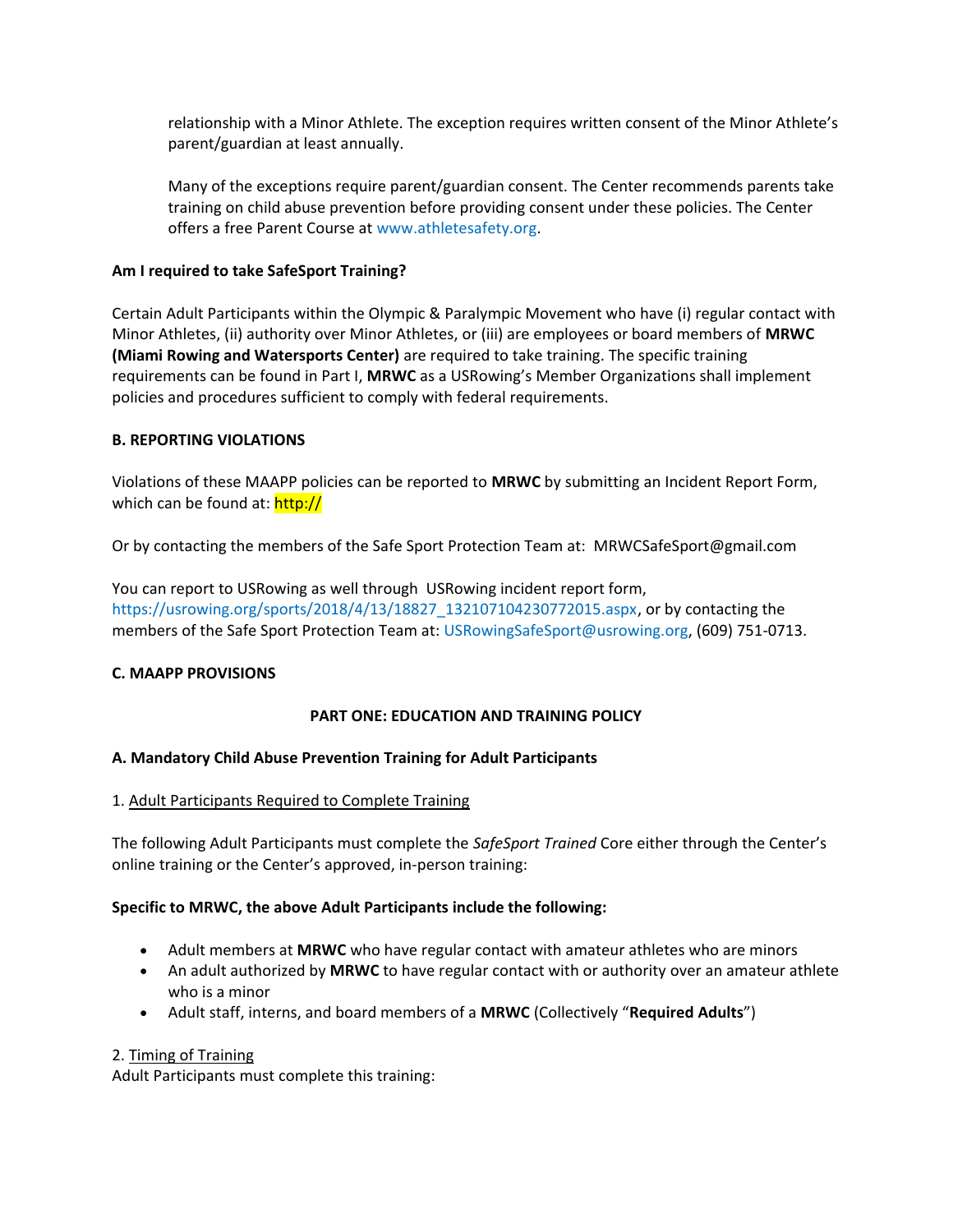relationship with a Minor Athlete. The exception requires written consent of the Minor Athlete's parent/guardian at least annually.

Many of the exceptions require parent/guardian consent. The Center recommends parents take training on child abuse prevention before providing consent under these policies. The Center offers a free Parent Course at www.athletesafety.org.

# **Am I required to take SafeSport Training?**

Certain Adult Participants within the Olympic & Paralympic Movement who have (i) regular contact with Minor Athletes, (ii) authority over Minor Athletes, or (iii) are employees or board members of **MRWC (Miami Rowing and Watersports Center)** are required to take training. The specific training requirements can be found in Part I, **MRWC** as a USRowing's Member Organizations shall implement policies and procedures sufficient to comply with federal requirements.

# **B. REPORTING VIOLATIONS**

Violations of these MAAPP policies can be reported to **MRWC** by submitting an Incident Report Form, which can be found at: http://

Or by contacting the members of the Safe Sport Protection Team at: MRWCSafeSport@gmail.com

You can report to USRowing as well through USRowing incident report form, https://usrowing.org/sports/2018/4/13/18827\_132107104230772015.aspx, or by contacting the members of the Safe Sport Protection Team at: USRowingSafeSport@usrowing.org, (609) 751-0713.

# **C. MAAPP PROVISIONS**

# **PART ONE: EDUCATION AND TRAINING POLICY**

# **A. Mandatory Child Abuse Prevention Training for Adult Participants**

# 1. Adult Participants Required to Complete Training

The following Adult Participants must complete the *SafeSport Trained* Core either through the Center's online training or the Center's approved, in-person training:

# **Specific to MRWC, the above Adult Participants include the following:**

- Adult members at **MRWC** who have regular contact with amateur athletes who are minors
- An adult authorized by **MRWC** to have regular contact with or authority over an amateur athlete who is a minor
- Adult staff, interns, and board members of a **MRWC** (Collectively "**Required Adults**")

# 2. Timing of Training

Adult Participants must complete this training: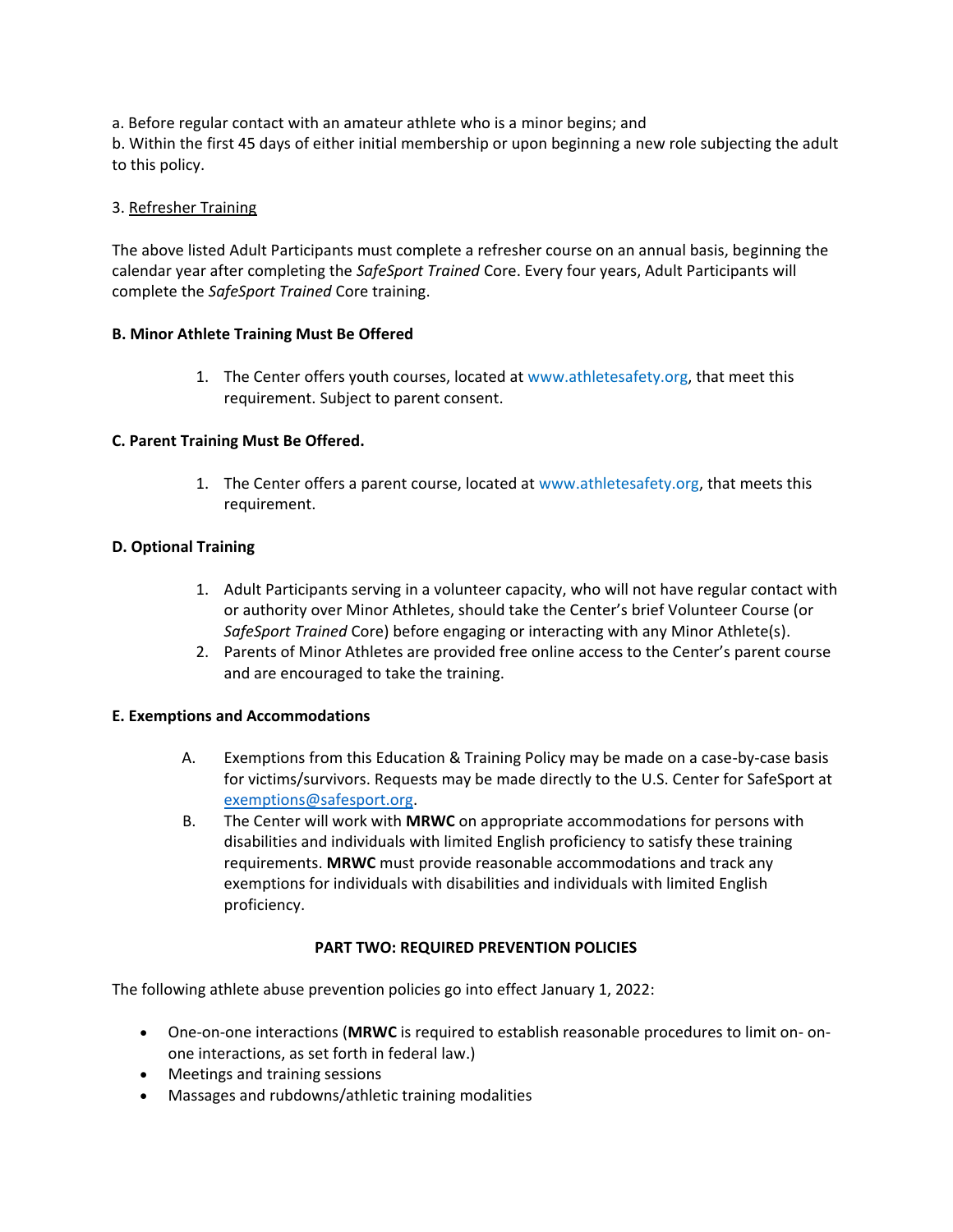a. Before regular contact with an amateur athlete who is a minor begins; and b. Within the first 45 days of either initial membership or upon beginning a new role subjecting the adult to this policy.

# 3. Refresher Training

The above listed Adult Participants must complete a refresher course on an annual basis, beginning the calendar year after completing the *SafeSport Trained* Core. Every four years, Adult Participants will complete the *SafeSport Trained* Core training.

# **B. Minor Athlete Training Must Be Offered**

1. The Center offers youth courses, located at www.athletesafety.org, that meet this requirement. Subject to parent consent.

# **C. Parent Training Must Be Offered.**

1. The Center offers a parent course, located at www.athletesafety.org, that meets this requirement.

# **D. Optional Training**

- 1. Adult Participants serving in a volunteer capacity, who will not have regular contact with or authority over Minor Athletes, should take the Center's brief Volunteer Course (or *SafeSport Trained* Core) before engaging or interacting with any Minor Athlete(s).
- 2. Parents of Minor Athletes are provided free online access to the Center's parent course and are encouraged to take the training.

# **E. Exemptions and Accommodations**

- A. Exemptions from this Education & Training Policy may be made on a case-by-case basis for victims/survivors. Requests may be made directly to the U.S. Center for SafeSport at exemptions@safesport.org.
- B. The Center will work with **MRWC** on appropriate accommodations for persons with disabilities and individuals with limited English proficiency to satisfy these training requirements. **MRWC** must provide reasonable accommodations and track any exemptions for individuals with disabilities and individuals with limited English proficiency.

# **PART TWO: REQUIRED PREVENTION POLICIES**

The following athlete abuse prevention policies go into effect January 1, 2022:

- One-on-one interactions (**MRWC** is required to establish reasonable procedures to limit on- onone interactions, as set forth in federal law.)
- Meetings and training sessions
- Massages and rubdowns/athletic training modalities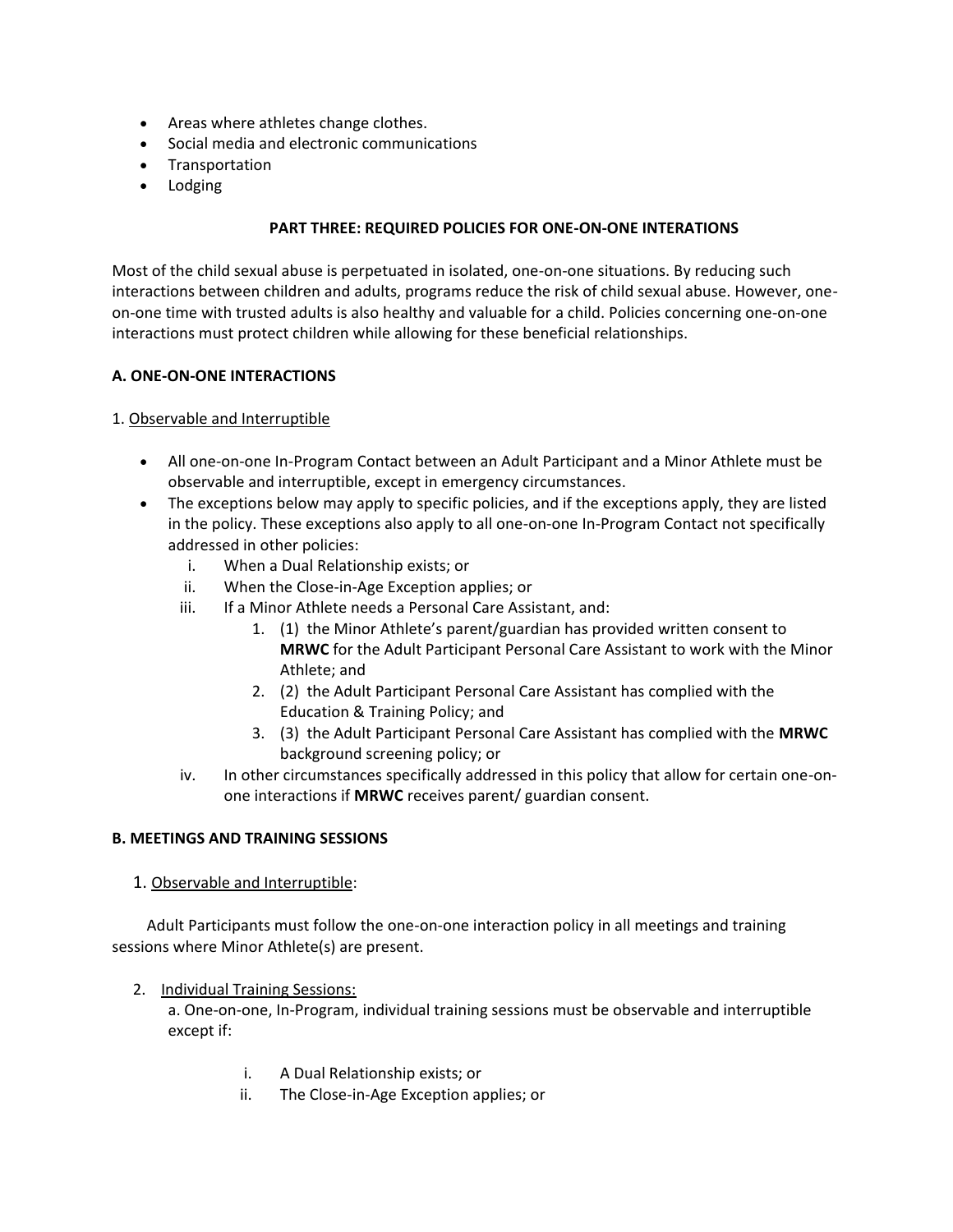- Areas where athletes change clothes.
- Social media and electronic communications
- Transportation
- Lodging

# **PART THREE: REQUIRED POLICIES FOR ONE-ON-ONE INTERATIONS**

Most of the child sexual abuse is perpetuated in isolated, one-on-one situations. By reducing such interactions between children and adults, programs reduce the risk of child sexual abuse. However, oneon-one time with trusted adults is also healthy and valuable for a child. Policies concerning one-on-one interactions must protect children while allowing for these beneficial relationships.

# **A. ONE-ON-ONE INTERACTIONS**

# 1. Observable and Interruptible

- All one-on-one In-Program Contact between an Adult Participant and a Minor Athlete must be observable and interruptible, except in emergency circumstances.
- The exceptions below may apply to specific policies, and if the exceptions apply, they are listed in the policy. These exceptions also apply to all one-on-one In-Program Contact not specifically addressed in other policies:
	- i. When a Dual Relationship exists; or
	- ii. When the Close-in-Age Exception applies; or
	- iii. If a Minor Athlete needs a Personal Care Assistant, and:
		- 1. (1) the Minor Athlete's parent/guardian has provided written consent to **MRWC** for the Adult Participant Personal Care Assistant to work with the Minor Athlete; and
		- 2. (2) the Adult Participant Personal Care Assistant has complied with the Education & Training Policy; and
		- 3. (3) the Adult Participant Personal Care Assistant has complied with the **MRWC** background screening policy; or
	- iv. In other circumstances specifically addressed in this policy that allow for certain one-onone interactions if **MRWC** receives parent/ guardian consent.

# **B. MEETINGS AND TRAINING SESSIONS**

1. Observable and Interruptible:

 Adult Participants must follow the one-on-one interaction policy in all meetings and training sessions where Minor Athlete(s) are present.

2. Individual Training Sessions:

a. One-on-one, In-Program, individual training sessions must be observable and interruptible except if:

- i. A Dual Relationship exists; or
- ii. The Close-in-Age Exception applies; or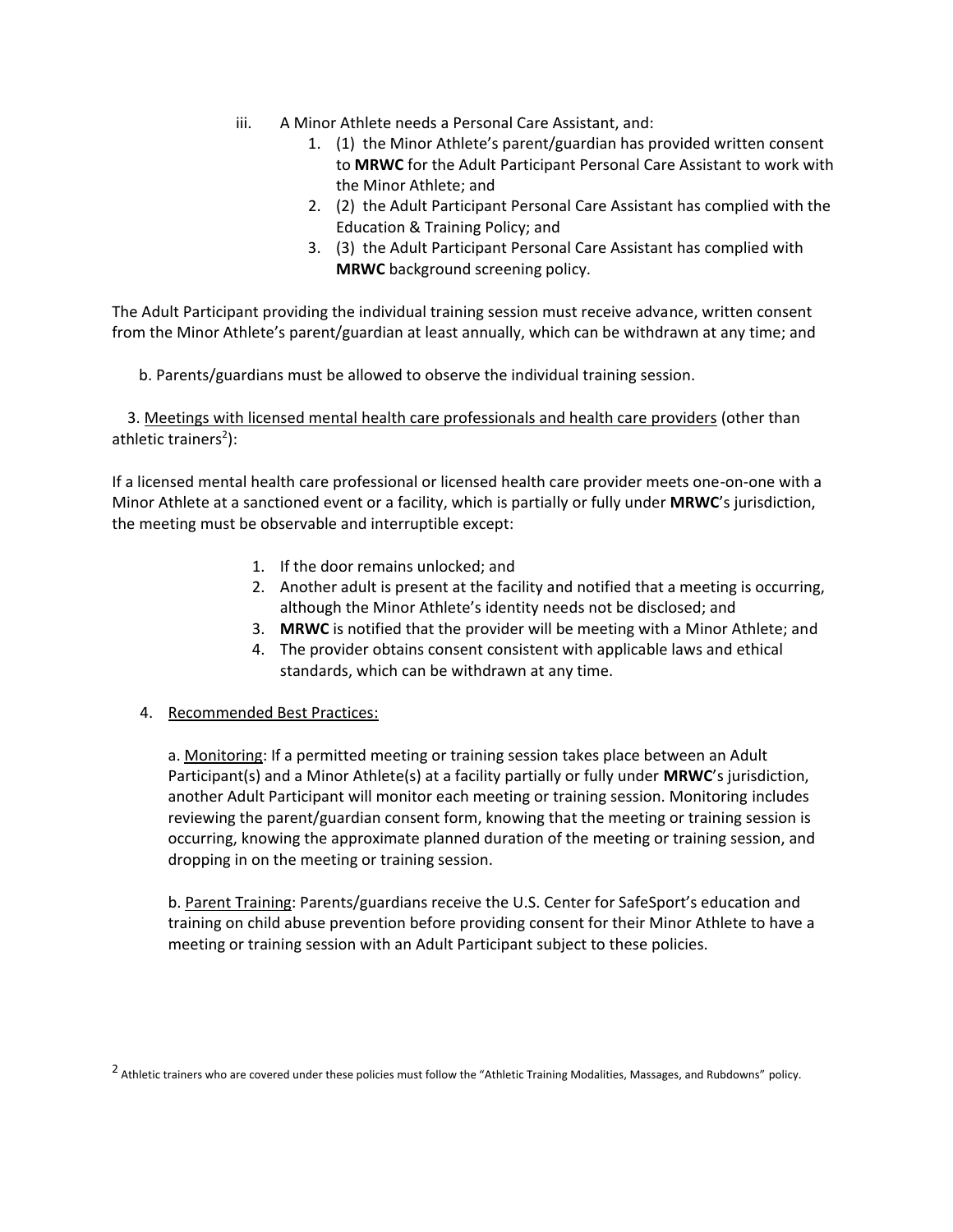- iii. A Minor Athlete needs a Personal Care Assistant, and:
	- 1. (1) the Minor Athlete's parent/guardian has provided written consent to **MRWC** for the Adult Participant Personal Care Assistant to work with the Minor Athlete; and
	- 2. (2) the Adult Participant Personal Care Assistant has complied with the Education & Training Policy; and
	- 3. (3) the Adult Participant Personal Care Assistant has complied with **MRWC** background screening policy.

The Adult Participant providing the individual training session must receive advance, written consent from the Minor Athlete's parent/guardian at least annually, which can be withdrawn at any time; and

b. Parents/guardians must be allowed to observe the individual training session.

 3. Meetings with licensed mental health care professionals and health care providers (other than athletic trainers<sup>2</sup>):

If a licensed mental health care professional or licensed health care provider meets one-on-one with a Minor Athlete at a sanctioned event or a facility, which is partially or fully under **MRWC**'s jurisdiction, the meeting must be observable and interruptible except:

- 1. If the door remains unlocked; and
- 2. Another adult is present at the facility and notified that a meeting is occurring, although the Minor Athlete's identity needs not be disclosed; and
- 3. **MRWC** is notified that the provider will be meeting with a Minor Athlete; and
- 4. The provider obtains consent consistent with applicable laws and ethical standards, which can be withdrawn at any time.
- 4. Recommended Best Practices:

a. Monitoring: If a permitted meeting or training session takes place between an Adult Participant(s) and a Minor Athlete(s) at a facility partially or fully under **MRWC**'s jurisdiction, another Adult Participant will monitor each meeting or training session. Monitoring includes reviewing the parent/guardian consent form, knowing that the meeting or training session is occurring, knowing the approximate planned duration of the meeting or training session, and dropping in on the meeting or training session.

b. Parent Training: Parents/guardians receive the U.S. Center for SafeSport's education and training on child abuse prevention before providing consent for their Minor Athlete to have a meeting or training session with an Adult Participant subject to these policies.

<sup>&</sup>lt;sup>2</sup> Athletic trainers who are covered under these policies must follow the "Athletic Training Modalities, Massages, and Rubdowns" policy.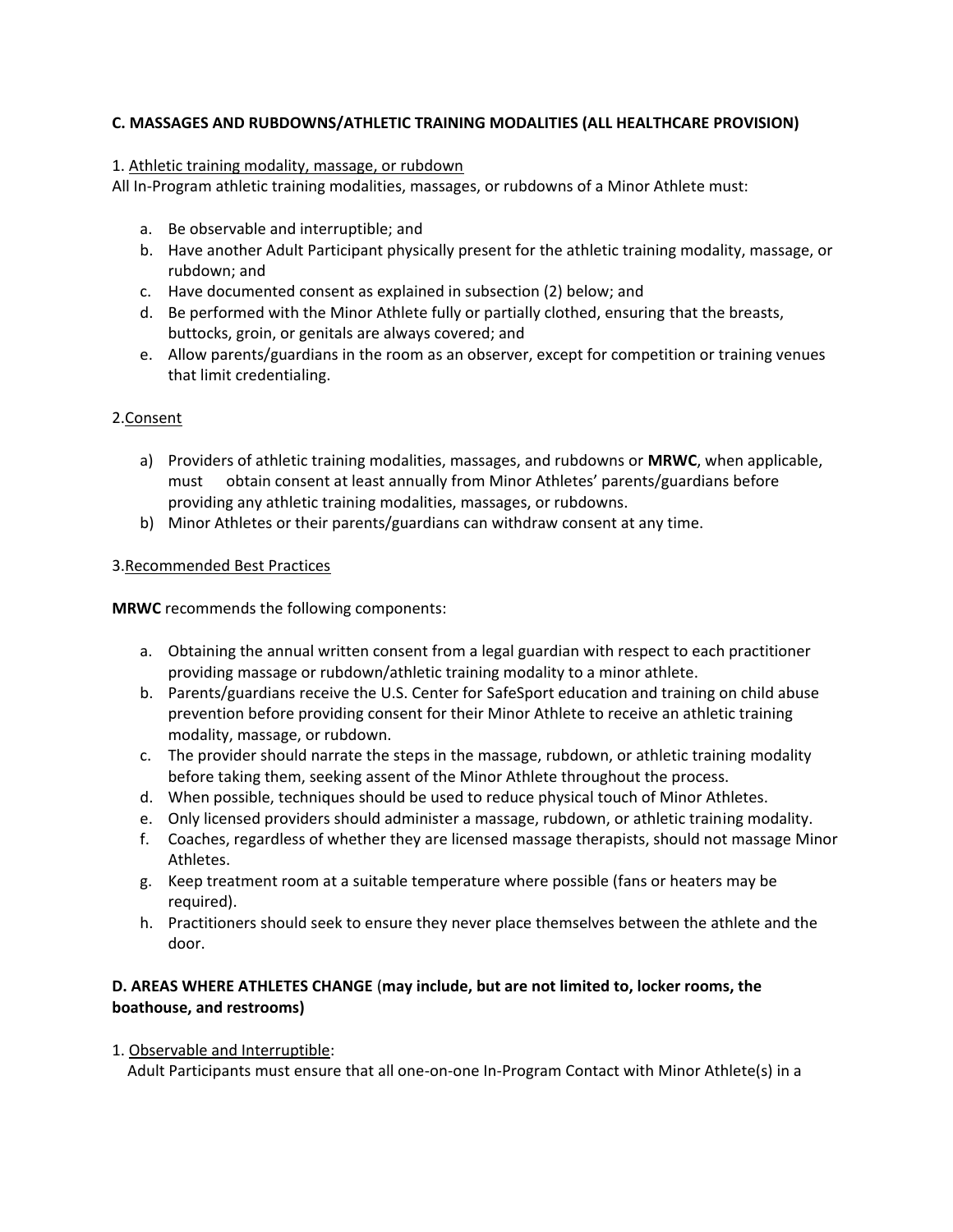# **C. MASSAGES AND RUBDOWNS/ATHLETIC TRAINING MODALITIES (ALL HEALTHCARE PROVISION)**

#### 1. Athletic training modality, massage, or rubdown

All In-Program athletic training modalities, massages, or rubdowns of a Minor Athlete must:

- a. Be observable and interruptible; and
- b. Have another Adult Participant physically present for the athletic training modality, massage, or rubdown; and
- c. Have documented consent as explained in subsection (2) below; and
- d. Be performed with the Minor Athlete fully or partially clothed, ensuring that the breasts, buttocks, groin, or genitals are always covered; and
- e. Allow parents/guardians in the room as an observer, except for competition or training venues that limit credentialing.

# 2.Consent

- a) Providers of athletic training modalities, massages, and rubdowns or **MRWC**, when applicable, must obtain consent at least annually from Minor Athletes' parents/guardians before providing any athletic training modalities, massages, or rubdowns.
- b) Minor Athletes or their parents/guardians can withdraw consent at any time.

# 3.Recommended Best Practices

**MRWC** recommends the following components:

- a. Obtaining the annual written consent from a legal guardian with respect to each practitioner providing massage or rubdown/athletic training modality to a minor athlete.
- b. Parents/guardians receive the U.S. Center for SafeSport education and training on child abuse prevention before providing consent for their Minor Athlete to receive an athletic training modality, massage, or rubdown.
- c. The provider should narrate the steps in the massage, rubdown, or athletic training modality before taking them, seeking assent of the Minor Athlete throughout the process.
- d. When possible, techniques should be used to reduce physical touch of Minor Athletes.
- e. Only licensed providers should administer a massage, rubdown, or athletic training modality.
- f. Coaches, regardless of whether they are licensed massage therapists, should not massage Minor Athletes.
- g. Keep treatment room at a suitable temperature where possible (fans or heaters may be required).
- h. Practitioners should seek to ensure they never place themselves between the athlete and the door.

# **D. AREAS WHERE ATHLETES CHANGE** (**may include, but are not limited to, locker rooms, the boathouse, and restrooms)**

1. Observable and Interruptible:

Adult Participants must ensure that all one-on-one In-Program Contact with Minor Athlete(s) in a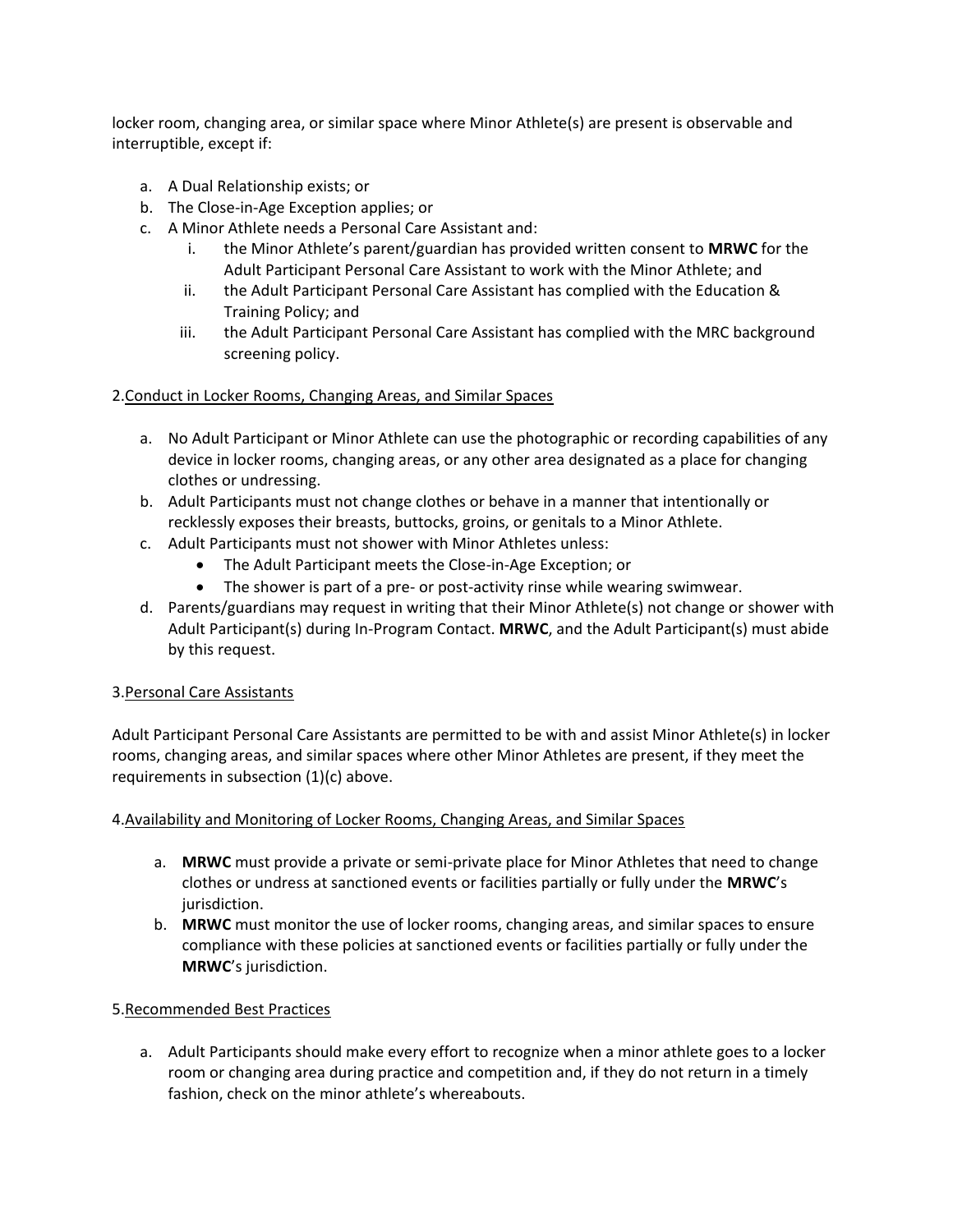locker room, changing area, or similar space where Minor Athlete(s) are present is observable and interruptible, except if:

- a. A Dual Relationship exists; or
- b. The Close-in-Age Exception applies; or
- c. A Minor Athlete needs a Personal Care Assistant and:
	- i. the Minor Athlete's parent/guardian has provided written consent to **MRWC** for the Adult Participant Personal Care Assistant to work with the Minor Athlete; and
	- ii. the Adult Participant Personal Care Assistant has complied with the Education & Training Policy; and
	- iii. the Adult Participant Personal Care Assistant has complied with the MRC background screening policy.

# 2.Conduct in Locker Rooms, Changing Areas, and Similar Spaces

- a. No Adult Participant or Minor Athlete can use the photographic or recording capabilities of any device in locker rooms, changing areas, or any other area designated as a place for changing clothes or undressing.
- b. Adult Participants must not change clothes or behave in a manner that intentionally or recklessly exposes their breasts, buttocks, groins, or genitals to a Minor Athlete.
- c. Adult Participants must not shower with Minor Athletes unless:
	- The Adult Participant meets the Close-in-Age Exception; or
	- The shower is part of a pre- or post-activity rinse while wearing swimwear.
- d. Parents/guardians may request in writing that their Minor Athlete(s) not change or shower with Adult Participant(s) during In-Program Contact. **MRWC**, and the Adult Participant(s) must abide by this request.

# 3.Personal Care Assistants

Adult Participant Personal Care Assistants are permitted to be with and assist Minor Athlete(s) in locker rooms, changing areas, and similar spaces where other Minor Athletes are present, if they meet the requirements in subsection (1)(c) above.

# 4.Availability and Monitoring of Locker Rooms, Changing Areas, and Similar Spaces

- a. **MRWC** must provide a private or semi-private place for Minor Athletes that need to change clothes or undress at sanctioned events or facilities partially or fully under the **MRWC**'s jurisdiction.
- b. **MRWC** must monitor the use of locker rooms, changing areas, and similar spaces to ensure compliance with these policies at sanctioned events or facilities partially or fully under the **MRWC**'s jurisdiction.

# 5.Recommended Best Practices

a. Adult Participants should make every effort to recognize when a minor athlete goes to a locker room or changing area during practice and competition and, if they do not return in a timely fashion, check on the minor athlete's whereabouts.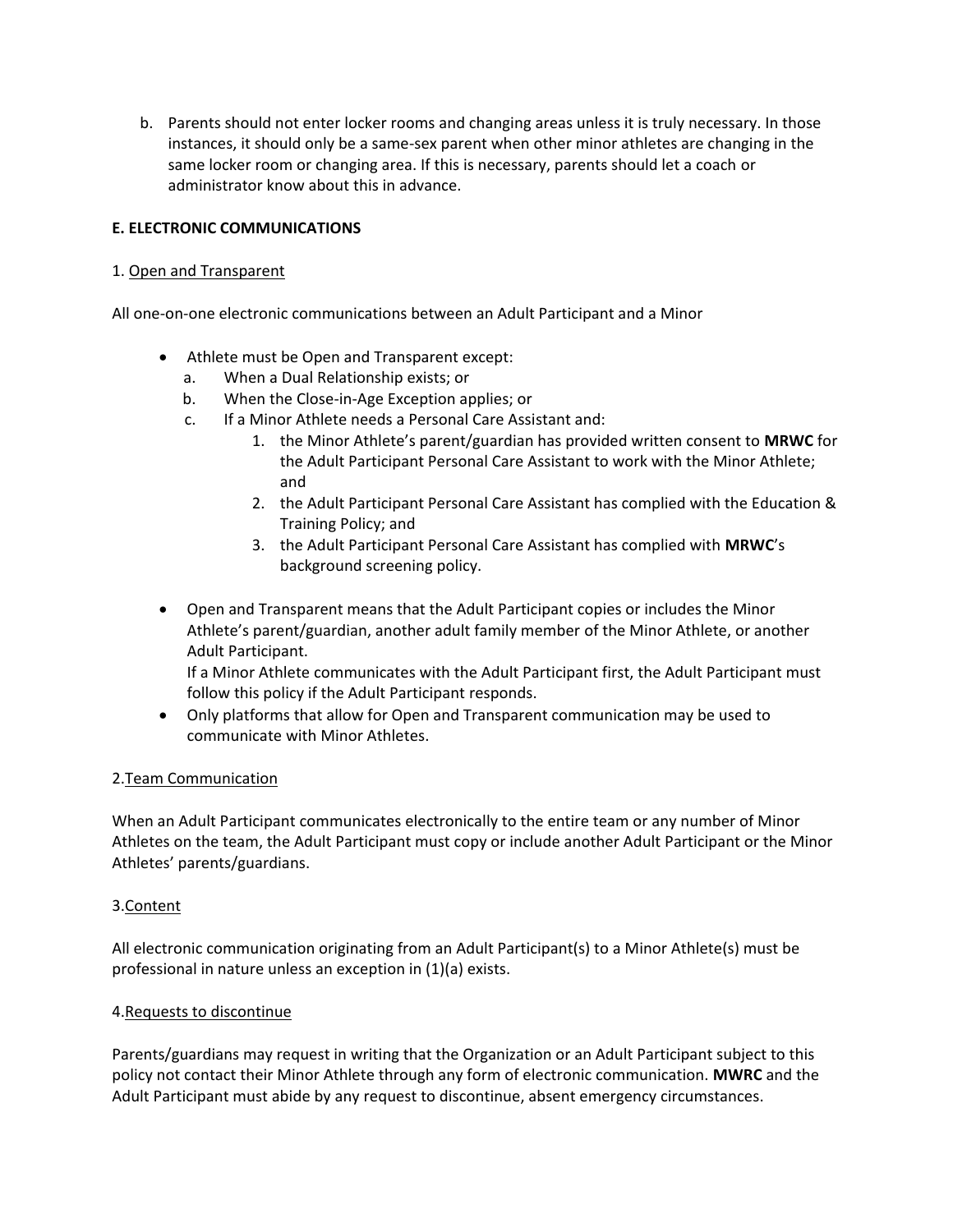b. Parents should not enter locker rooms and changing areas unless it is truly necessary. In those instances, it should only be a same-sex parent when other minor athletes are changing in the same locker room or changing area. If this is necessary, parents should let a coach or administrator know about this in advance.

# **E. ELECTRONIC COMMUNICATIONS**

# 1. Open and Transparent

All one-on-one electronic communications between an Adult Participant and a Minor

- Athlete must be Open and Transparent except:
	- a. When a Dual Relationship exists; or
	- b. When the Close-in-Age Exception applies; or
	- c. If a Minor Athlete needs a Personal Care Assistant and:
		- 1. the Minor Athlete's parent/guardian has provided written consent to **MRWC** for the Adult Participant Personal Care Assistant to work with the Minor Athlete; and
		- 2. the Adult Participant Personal Care Assistant has complied with the Education & Training Policy; and
		- 3. the Adult Participant Personal Care Assistant has complied with **MRWC**'s background screening policy.
- Open and Transparent means that the Adult Participant copies or includes the Minor Athlete's parent/guardian, another adult family member of the Minor Athlete, or another Adult Participant.

If a Minor Athlete communicates with the Adult Participant first, the Adult Participant must follow this policy if the Adult Participant responds.

 Only platforms that allow for Open and Transparent communication may be used to communicate with Minor Athletes.

# 2.Team Communication

When an Adult Participant communicates electronically to the entire team or any number of Minor Athletes on the team, the Adult Participant must copy or include another Adult Participant or the Minor Athletes' parents/guardians.

# 3.Content

All electronic communication originating from an Adult Participant(s) to a Minor Athlete(s) must be professional in nature unless an exception in (1)(a) exists.

# 4.Requests to discontinue

Parents/guardians may request in writing that the Organization or an Adult Participant subject to this policy not contact their Minor Athlete through any form of electronic communication. **MWRC** and the Adult Participant must abide by any request to discontinue, absent emergency circumstances.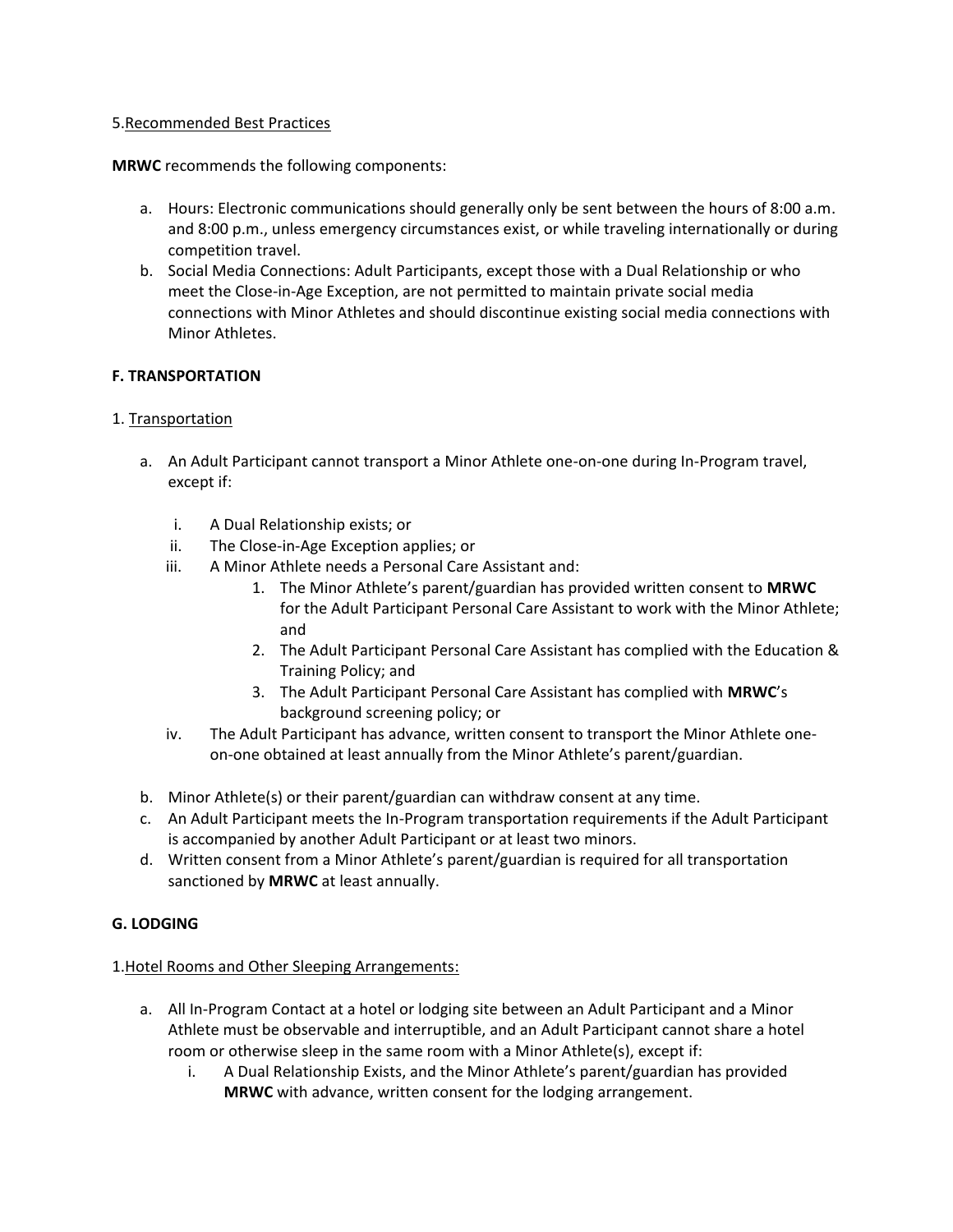#### 5.Recommended Best Practices

**MRWC** recommends the following components:

- a. Hours: Electronic communications should generally only be sent between the hours of 8:00 a.m. and 8:00 p.m., unless emergency circumstances exist, or while traveling internationally or during competition travel.
- b. Social Media Connections: Adult Participants, except those with a Dual Relationship or who meet the Close-in-Age Exception, are not permitted to maintain private social media connections with Minor Athletes and should discontinue existing social media connections with Minor Athletes.

# **F. TRANSPORTATION**

# 1. Transportation

- a. An Adult Participant cannot transport a Minor Athlete one-on-one during In-Program travel, except if:
	- i. A Dual Relationship exists; or
	- ii. The Close-in-Age Exception applies; or
	- iii. A Minor Athlete needs a Personal Care Assistant and:
		- 1. The Minor Athlete's parent/guardian has provided written consent to **MRWC** for the Adult Participant Personal Care Assistant to work with the Minor Athlete; and
		- 2. The Adult Participant Personal Care Assistant has complied with the Education & Training Policy; and
		- 3. The Adult Participant Personal Care Assistant has complied with **MRWC**'s background screening policy; or
	- iv. The Adult Participant has advance, written consent to transport the Minor Athlete oneon-one obtained at least annually from the Minor Athlete's parent/guardian.
- b. Minor Athlete(s) or their parent/guardian can withdraw consent at any time.
- c. An Adult Participant meets the In-Program transportation requirements if the Adult Participant is accompanied by another Adult Participant or at least two minors.
- d. Written consent from a Minor Athlete's parent/guardian is required for all transportation sanctioned by **MRWC** at least annually.

# **G. LODGING**

# 1.Hotel Rooms and Other Sleeping Arrangements:

- a. All In-Program Contact at a hotel or lodging site between an Adult Participant and a Minor Athlete must be observable and interruptible, and an Adult Participant cannot share a hotel room or otherwise sleep in the same room with a Minor Athlete(s), except if:
	- i. A Dual Relationship Exists, and the Minor Athlete's parent/guardian has provided **MRWC** with advance, written consent for the lodging arrangement.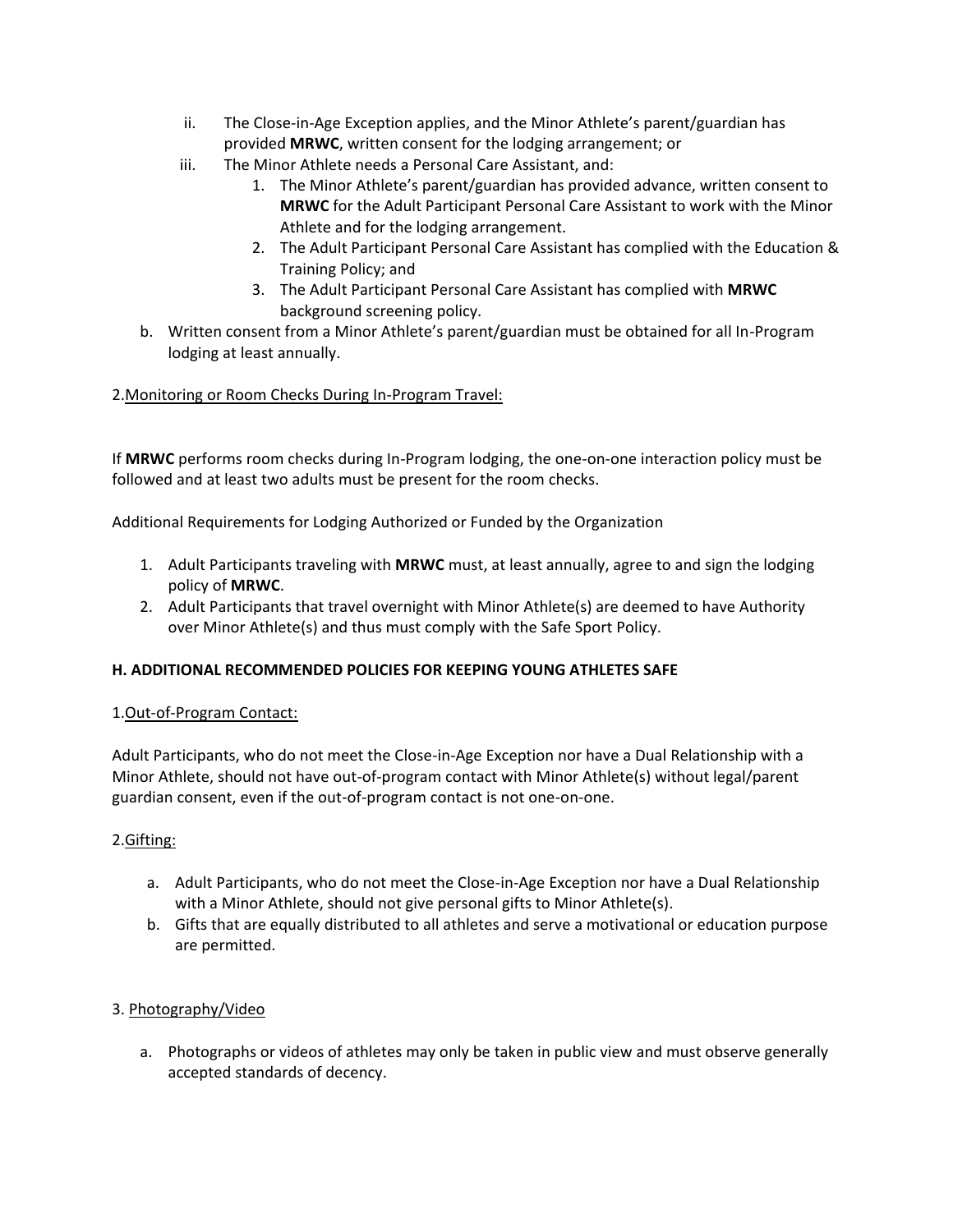- ii. The Close-in-Age Exception applies, and the Minor Athlete's parent/guardian has provided **MRWC**, written consent for the lodging arrangement; or
- iii. The Minor Athlete needs a Personal Care Assistant, and:
	- 1. The Minor Athlete's parent/guardian has provided advance, written consent to **MRWC** for the Adult Participant Personal Care Assistant to work with the Minor Athlete and for the lodging arrangement.
	- 2. The Adult Participant Personal Care Assistant has complied with the Education & Training Policy; and
	- 3. The Adult Participant Personal Care Assistant has complied with **MRWC** background screening policy.
- b. Written consent from a Minor Athlete's parent/guardian must be obtained for all In-Program lodging at least annually.

# 2.Monitoring or Room Checks During In-Program Travel:

If **MRWC** performs room checks during In-Program lodging, the one-on-one interaction policy must be followed and at least two adults must be present for the room checks.

Additional Requirements for Lodging Authorized or Funded by the Organization

- 1. Adult Participants traveling with **MRWC** must, at least annually, agree to and sign the lodging policy of **MRWC**.
- 2. Adult Participants that travel overnight with Minor Athlete(s) are deemed to have Authority over Minor Athlete(s) and thus must comply with the Safe Sport Policy.

# **H. ADDITIONAL RECOMMENDED POLICIES FOR KEEPING YOUNG ATHLETES SAFE**

# 1.Out-of-Program Contact:

Adult Participants, who do not meet the Close-in-Age Exception nor have a Dual Relationship with a Minor Athlete, should not have out-of-program contact with Minor Athlete(s) without legal/parent guardian consent, even if the out-of-program contact is not one-on-one.

# 2.Gifting:

- a. Adult Participants, who do not meet the Close-in-Age Exception nor have a Dual Relationship with a Minor Athlete, should not give personal gifts to Minor Athlete(s).
- b. Gifts that are equally distributed to all athletes and serve a motivational or education purpose are permitted.

# 3. Photography/Video

a. Photographs or videos of athletes may only be taken in public view and must observe generally accepted standards of decency.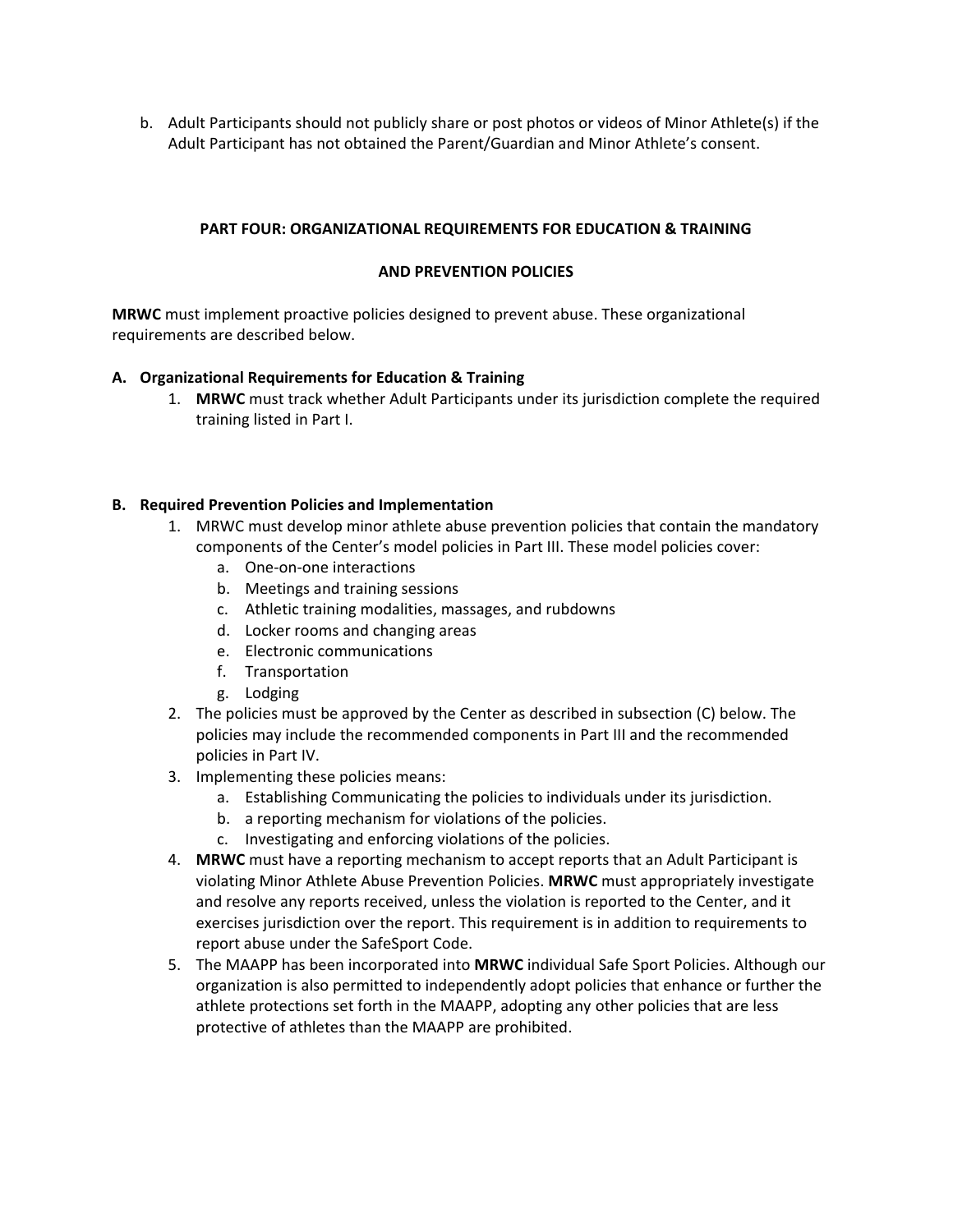b. Adult Participants should not publicly share or post photos or videos of Minor Athlete(s) if the Adult Participant has not obtained the Parent/Guardian and Minor Athlete's consent.

# **PART FOUR: ORGANIZATIONAL REQUIREMENTS FOR EDUCATION & TRAINING**

# **AND PREVENTION POLICIES**

**MRWC** must implement proactive policies designed to prevent abuse. These organizational requirements are described below.

# **A. Organizational Requirements for Education & Training**

1. **MRWC** must track whether Adult Participants under its jurisdiction complete the required training listed in Part I.

# **B. Required Prevention Policies and Implementation**

- 1. MRWC must develop minor athlete abuse prevention policies that contain the mandatory components of the Center's model policies in Part III. These model policies cover:
	- a. One-on-one interactions
	- b. Meetings and training sessions
	- c. Athletic training modalities, massages, and rubdowns
	- d. Locker rooms and changing areas
	- e. Electronic communications
	- f. Transportation
	- g. Lodging
- 2. The policies must be approved by the Center as described in subsection (C) below. The policies may include the recommended components in Part III and the recommended policies in Part IV.
- 3. Implementing these policies means:
	- a. Establishing Communicating the policies to individuals under its jurisdiction.
	- b. a reporting mechanism for violations of the policies.
	- c. Investigating and enforcing violations of the policies.
- 4. **MRWC** must have a reporting mechanism to accept reports that an Adult Participant is violating Minor Athlete Abuse Prevention Policies. **MRWC** must appropriately investigate and resolve any reports received, unless the violation is reported to the Center, and it exercises jurisdiction over the report. This requirement is in addition to requirements to report abuse under the SafeSport Code.
- 5. The MAAPP has been incorporated into **MRWC** individual Safe Sport Policies. Although our organization is also permitted to independently adopt policies that enhance or further the athlete protections set forth in the MAAPP, adopting any other policies that are less protective of athletes than the MAAPP are prohibited.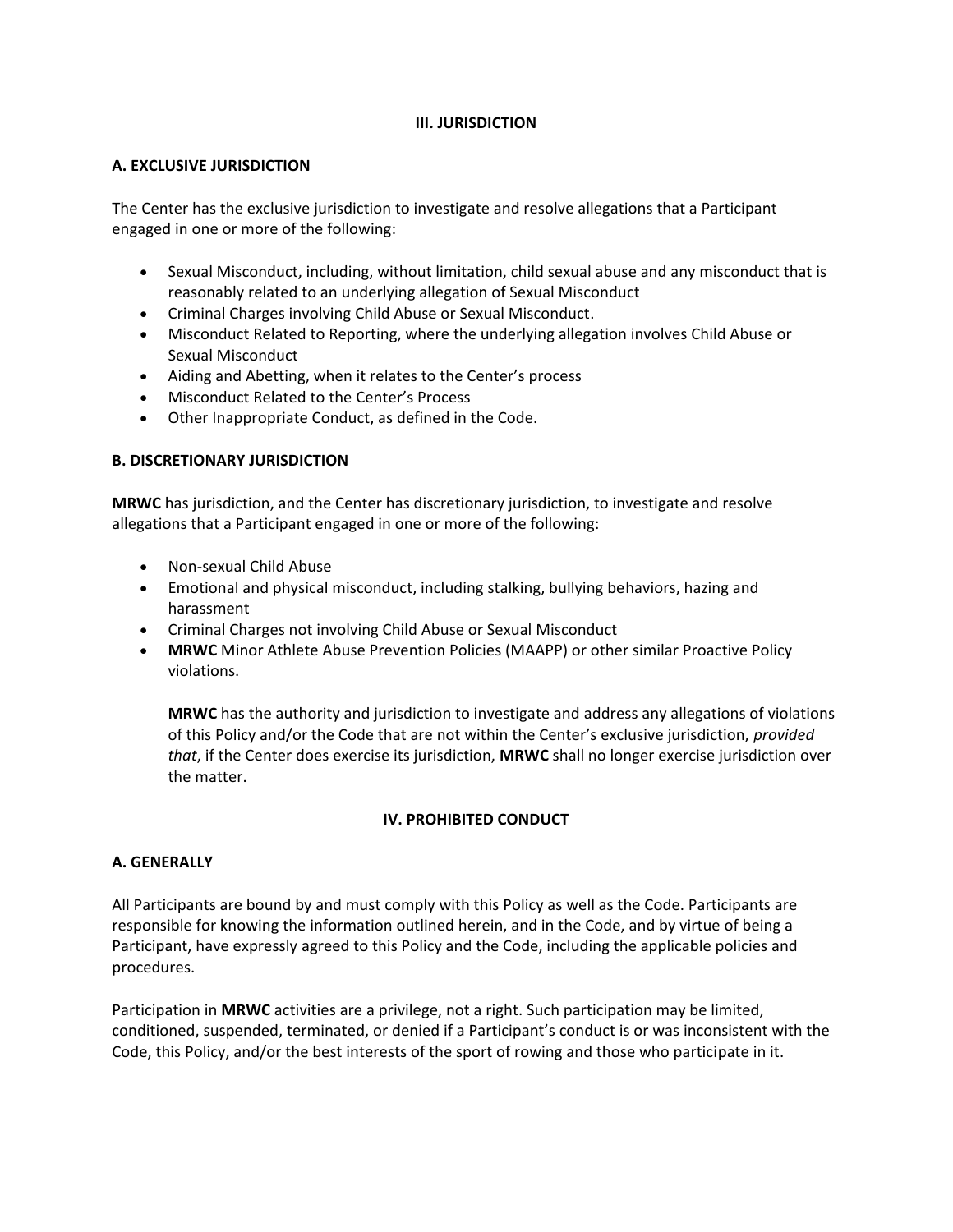# **III. JURISDICTION**

# **A. EXCLUSIVE JURISDICTION**

The Center has the exclusive jurisdiction to investigate and resolve allegations that a Participant engaged in one or more of the following:

- Sexual Misconduct, including, without limitation, child sexual abuse and any misconduct that is reasonably related to an underlying allegation of Sexual Misconduct
- Criminal Charges involving Child Abuse or Sexual Misconduct.
- Misconduct Related to Reporting, where the underlying allegation involves Child Abuse or Sexual Misconduct
- Aiding and Abetting, when it relates to the Center's process
- Misconduct Related to the Center's Process
- Other Inappropriate Conduct, as defined in the Code.

# **B. DISCRETIONARY JURISDICTION**

**MRWC** has jurisdiction, and the Center has discretionary jurisdiction, to investigate and resolve allegations that a Participant engaged in one or more of the following:

- Non-sexual Child Abuse
- Emotional and physical misconduct, including stalking, bullying behaviors, hazing and harassment
- Criminal Charges not involving Child Abuse or Sexual Misconduct
- **MRWC** Minor Athlete Abuse Prevention Policies (MAAPP) or other similar Proactive Policy violations.

**MRWC** has the authority and jurisdiction to investigate and address any allegations of violations of this Policy and/or the Code that are not within the Center's exclusive jurisdiction, *provided that*, if the Center does exercise its jurisdiction, **MRWC** shall no longer exercise jurisdiction over the matter.

# **IV. PROHIBITED CONDUCT**

# **A. GENERALLY**

All Participants are bound by and must comply with this Policy as well as the Code. Participants are responsible for knowing the information outlined herein, and in the Code, and by virtue of being a Participant, have expressly agreed to this Policy and the Code, including the applicable policies and procedures.

Participation in **MRWC** activities are a privilege, not a right. Such participation may be limited, conditioned, suspended, terminated, or denied if a Participant's conduct is or was inconsistent with the Code, this Policy, and/or the best interests of the sport of rowing and those who participate in it.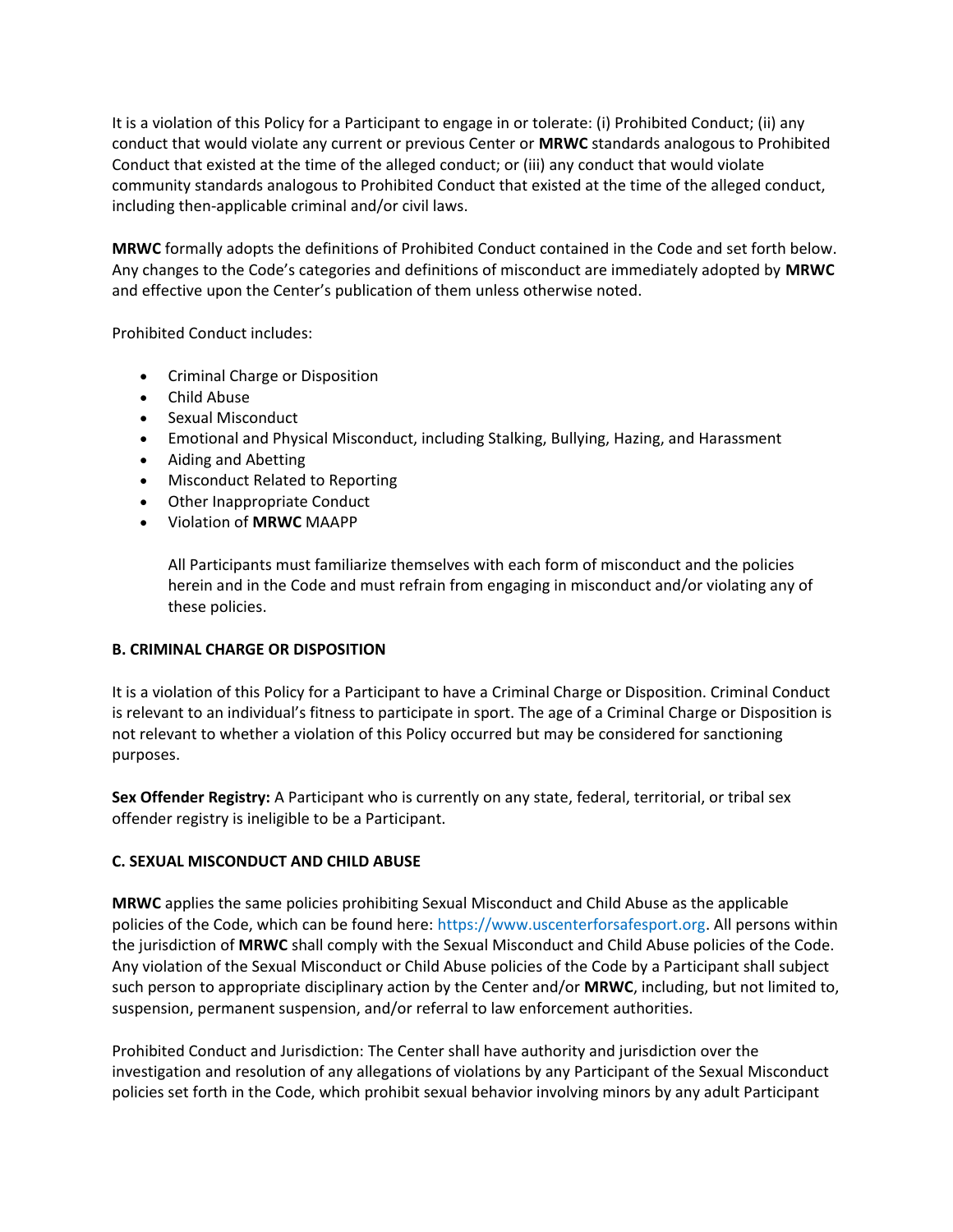It is a violation of this Policy for a Participant to engage in or tolerate: (i) Prohibited Conduct; (ii) any conduct that would violate any current or previous Center or **MRWC** standards analogous to Prohibited Conduct that existed at the time of the alleged conduct; or (iii) any conduct that would violate community standards analogous to Prohibited Conduct that existed at the time of the alleged conduct, including then-applicable criminal and/or civil laws.

**MRWC** formally adopts the definitions of Prohibited Conduct contained in the Code and set forth below. Any changes to the Code's categories and definitions of misconduct are immediately adopted by **MRWC** and effective upon the Center's publication of them unless otherwise noted.

Prohibited Conduct includes:

- Criminal Charge or Disposition
- Child Abuse
- Sexual Misconduct
- Emotional and Physical Misconduct, including Stalking, Bullying, Hazing, and Harassment
- Aiding and Abetting
- Misconduct Related to Reporting
- Other Inappropriate Conduct
- Violation of **MRWC** MAAPP

All Participants must familiarize themselves with each form of misconduct and the policies herein and in the Code and must refrain from engaging in misconduct and/or violating any of these policies.

# **B. CRIMINAL CHARGE OR DISPOSITION**

It is a violation of this Policy for a Participant to have a Criminal Charge or Disposition. Criminal Conduct is relevant to an individual's fitness to participate in sport. The age of a Criminal Charge or Disposition is not relevant to whether a violation of this Policy occurred but may be considered for sanctioning purposes.

**Sex Offender Registry:** A Participant who is currently on any state, federal, territorial, or tribal sex offender registry is ineligible to be a Participant.

# **C. SEXUAL MISCONDUCT AND CHILD ABUSE**

**MRWC** applies the same policies prohibiting Sexual Misconduct and Child Abuse as the applicable policies of the Code, which can be found here: https://www.uscenterforsafesport.org. All persons within the jurisdiction of **MRWC** shall comply with the Sexual Misconduct and Child Abuse policies of the Code. Any violation of the Sexual Misconduct or Child Abuse policies of the Code by a Participant shall subject such person to appropriate disciplinary action by the Center and/or **MRWC**, including, but not limited to, suspension, permanent suspension, and/or referral to law enforcement authorities.

Prohibited Conduct and Jurisdiction: The Center shall have authority and jurisdiction over the investigation and resolution of any allegations of violations by any Participant of the Sexual Misconduct policies set forth in the Code, which prohibit sexual behavior involving minors by any adult Participant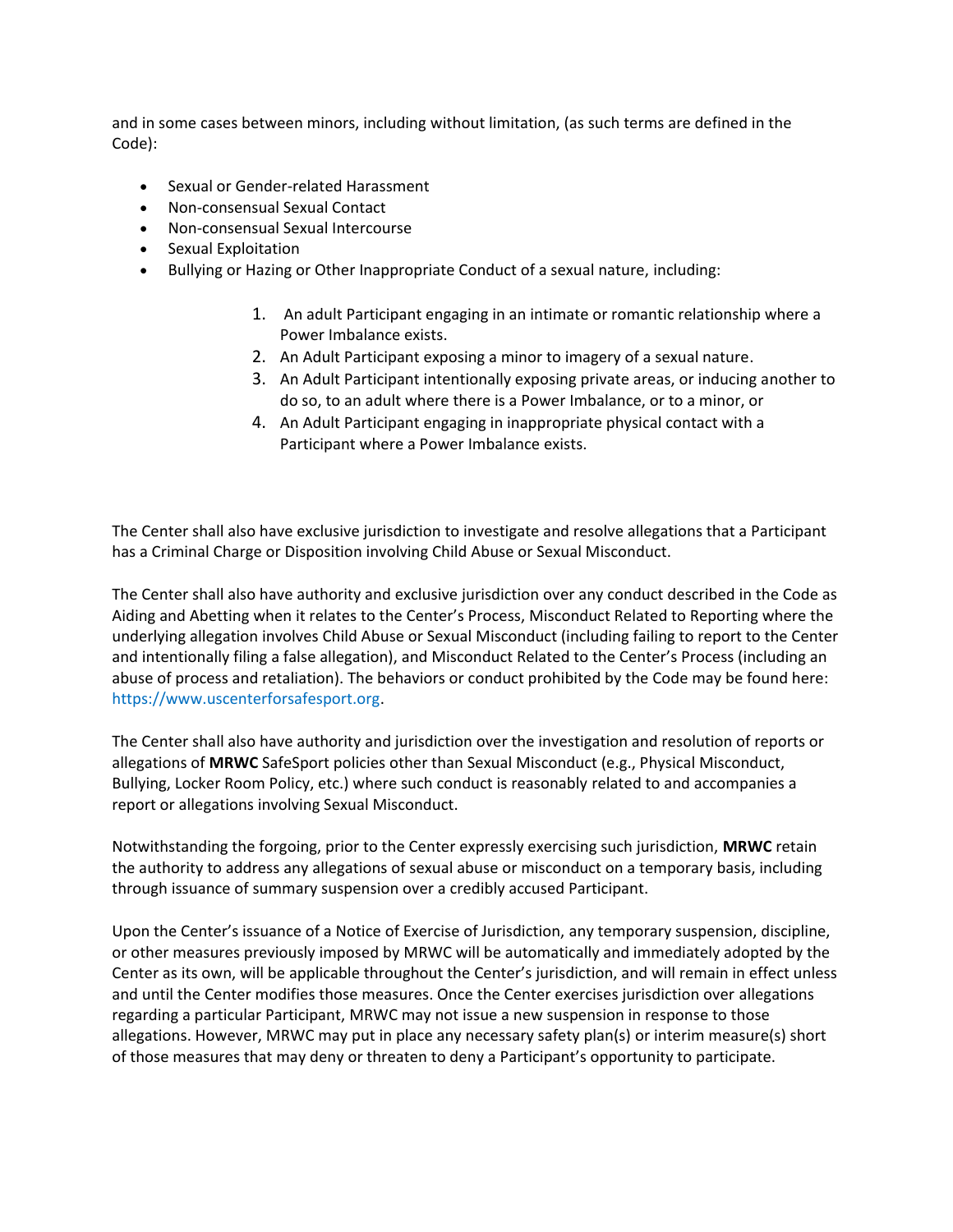and in some cases between minors, including without limitation, (as such terms are defined in the Code):

- Sexual or Gender-related Harassment
- Non-consensual Sexual Contact
- Non-consensual Sexual Intercourse
- Sexual Exploitation
- Bullying or Hazing or Other Inappropriate Conduct of a sexual nature, including:
	- 1. An adult Participant engaging in an intimate or romantic relationship where a Power Imbalance exists.
	- 2. An Adult Participant exposing a minor to imagery of a sexual nature.
	- 3. An Adult Participant intentionally exposing private areas, or inducing another to do so, to an adult where there is a Power Imbalance, or to a minor, or
	- 4. An Adult Participant engaging in inappropriate physical contact with a Participant where a Power Imbalance exists.

The Center shall also have exclusive jurisdiction to investigate and resolve allegations that a Participant has a Criminal Charge or Disposition involving Child Abuse or Sexual Misconduct.

The Center shall also have authority and exclusive jurisdiction over any conduct described in the Code as Aiding and Abetting when it relates to the Center's Process, Misconduct Related to Reporting where the underlying allegation involves Child Abuse or Sexual Misconduct (including failing to report to the Center and intentionally filing a false allegation), and Misconduct Related to the Center's Process (including an abuse of process and retaliation). The behaviors or conduct prohibited by the Code may be found here: https://www.uscenterforsafesport.org.

The Center shall also have authority and jurisdiction over the investigation and resolution of reports or allegations of **MRWC** SafeSport policies other than Sexual Misconduct (e.g., Physical Misconduct, Bullying, Locker Room Policy, etc.) where such conduct is reasonably related to and accompanies a report or allegations involving Sexual Misconduct.

Notwithstanding the forgoing, prior to the Center expressly exercising such jurisdiction, **MRWC** retain the authority to address any allegations of sexual abuse or misconduct on a temporary basis, including through issuance of summary suspension over a credibly accused Participant.

Upon the Center's issuance of a Notice of Exercise of Jurisdiction, any temporary suspension, discipline, or other measures previously imposed by MRWC will be automatically and immediately adopted by the Center as its own, will be applicable throughout the Center's jurisdiction, and will remain in effect unless and until the Center modifies those measures. Once the Center exercises jurisdiction over allegations regarding a particular Participant, MRWC may not issue a new suspension in response to those allegations. However, MRWC may put in place any necessary safety plan(s) or interim measure(s) short of those measures that may deny or threaten to deny a Participant's opportunity to participate.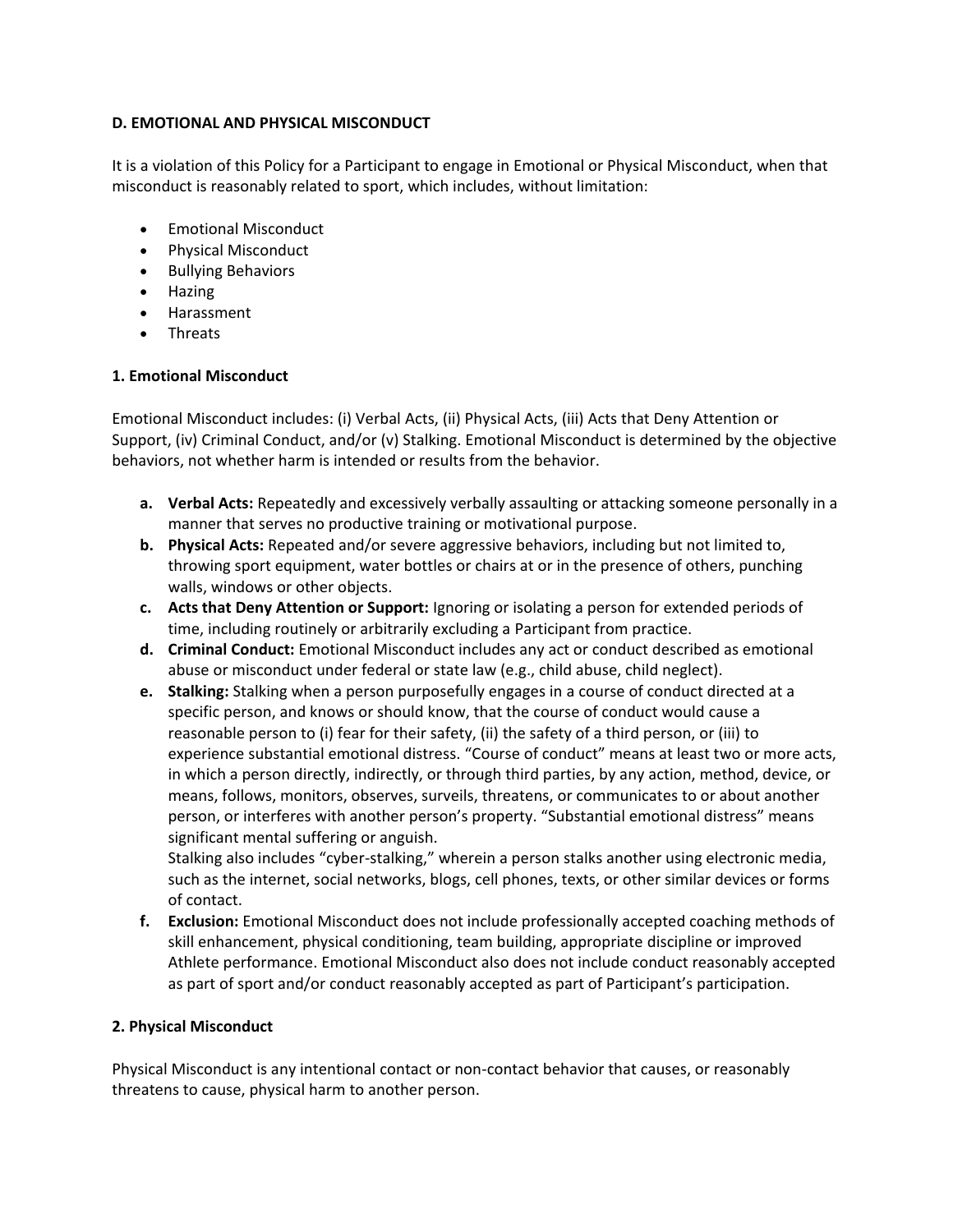# **D. EMOTIONAL AND PHYSICAL MISCONDUCT**

It is a violation of this Policy for a Participant to engage in Emotional or Physical Misconduct, when that misconduct is reasonably related to sport, which includes, without limitation:

- Emotional Misconduct
- Physical Misconduct
- Bullying Behaviors
- Hazing
- Harassment
- Threats

# **1. Emotional Misconduct**

Emotional Misconduct includes: (i) Verbal Acts, (ii) Physical Acts, (iii) Acts that Deny Attention or Support, (iv) Criminal Conduct, and/or (v) Stalking. Emotional Misconduct is determined by the objective behaviors, not whether harm is intended or results from the behavior.

- **a. Verbal Acts:** Repeatedly and excessively verbally assaulting or attacking someone personally in a manner that serves no productive training or motivational purpose.
- **b. Physical Acts:** Repeated and/or severe aggressive behaviors, including but not limited to, throwing sport equipment, water bottles or chairs at or in the presence of others, punching walls, windows or other objects.
- **c. Acts that Deny Attention or Support:** Ignoring or isolating a person for extended periods of time, including routinely or arbitrarily excluding a Participant from practice.
- **d. Criminal Conduct:** Emotional Misconduct includes any act or conduct described as emotional abuse or misconduct under federal or state law (e.g., child abuse, child neglect).
- **e. Stalking:** Stalking when a person purposefully engages in a course of conduct directed at a specific person, and knows or should know, that the course of conduct would cause a reasonable person to (i) fear for their safety, (ii) the safety of a third person, or (iii) to experience substantial emotional distress. "Course of conduct" means at least two or more acts, in which a person directly, indirectly, or through third parties, by any action, method, device, or means, follows, monitors, observes, surveils, threatens, or communicates to or about another person, or interferes with another person's property. "Substantial emotional distress" means significant mental suffering or anguish.

Stalking also includes "cyber-stalking," wherein a person stalks another using electronic media, such as the internet, social networks, blogs, cell phones, texts, or other similar devices or forms of contact.

**f. Exclusion:** Emotional Misconduct does not include professionally accepted coaching methods of skill enhancement, physical conditioning, team building, appropriate discipline or improved Athlete performance. Emotional Misconduct also does not include conduct reasonably accepted as part of sport and/or conduct reasonably accepted as part of Participant's participation.

# **2. Physical Misconduct**

Physical Misconduct is any intentional contact or non-contact behavior that causes, or reasonably threatens to cause, physical harm to another person.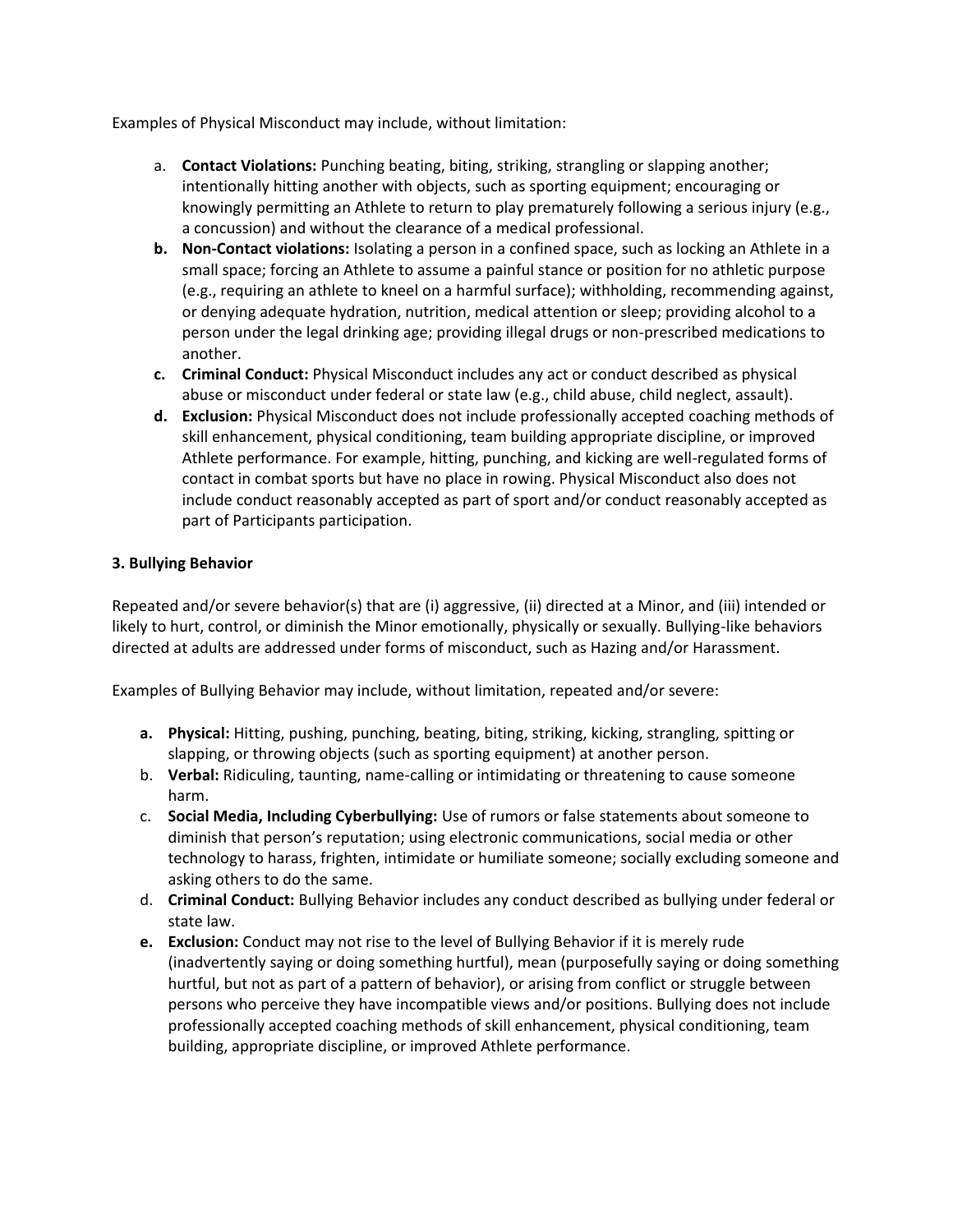Examples of Physical Misconduct may include, without limitation:

- a. **Contact Violations:** Punching beating, biting, striking, strangling or slapping another; intentionally hitting another with objects, such as sporting equipment; encouraging or knowingly permitting an Athlete to return to play prematurely following a serious injury (e.g., a concussion) and without the clearance of a medical professional.
- **b. Non-Contact violations:** Isolating a person in a confined space, such as locking an Athlete in a small space; forcing an Athlete to assume a painful stance or position for no athletic purpose (e.g., requiring an athlete to kneel on a harmful surface); withholding, recommending against, or denying adequate hydration, nutrition, medical attention or sleep; providing alcohol to a person under the legal drinking age; providing illegal drugs or non-prescribed medications to another.
- **c. Criminal Conduct:** Physical Misconduct includes any act or conduct described as physical abuse or misconduct under federal or state law (e.g., child abuse, child neglect, assault).
- **d. Exclusion:** Physical Misconduct does not include professionally accepted coaching methods of skill enhancement, physical conditioning, team building appropriate discipline, or improved Athlete performance. For example, hitting, punching, and kicking are well-regulated forms of contact in combat sports but have no place in rowing. Physical Misconduct also does not include conduct reasonably accepted as part of sport and/or conduct reasonably accepted as part of Participants participation.

# **3. Bullying Behavior**

Repeated and/or severe behavior(s) that are (i) aggressive, (ii) directed at a Minor, and (iii) intended or likely to hurt, control, or diminish the Minor emotionally, physically or sexually. Bullying-like behaviors directed at adults are addressed under forms of misconduct, such as Hazing and/or Harassment.

Examples of Bullying Behavior may include, without limitation, repeated and/or severe:

- **a. Physical:** Hitting, pushing, punching, beating, biting, striking, kicking, strangling, spitting or slapping, or throwing objects (such as sporting equipment) at another person.
- b. **Verbal:** Ridiculing, taunting, name-calling or intimidating or threatening to cause someone harm.
- c. **Social Media, Including Cyberbullying:** Use of rumors or false statements about someone to diminish that person's reputation; using electronic communications, social media or other technology to harass, frighten, intimidate or humiliate someone; socially excluding someone and asking others to do the same.
- d. **Criminal Conduct:** Bullying Behavior includes any conduct described as bullying under federal or state law.
- **e. Exclusion:** Conduct may not rise to the level of Bullying Behavior if it is merely rude (inadvertently saying or doing something hurtful), mean (purposefully saying or doing something hurtful, but not as part of a pattern of behavior), or arising from conflict or struggle between persons who perceive they have incompatible views and/or positions. Bullying does not include professionally accepted coaching methods of skill enhancement, physical conditioning, team building, appropriate discipline, or improved Athlete performance.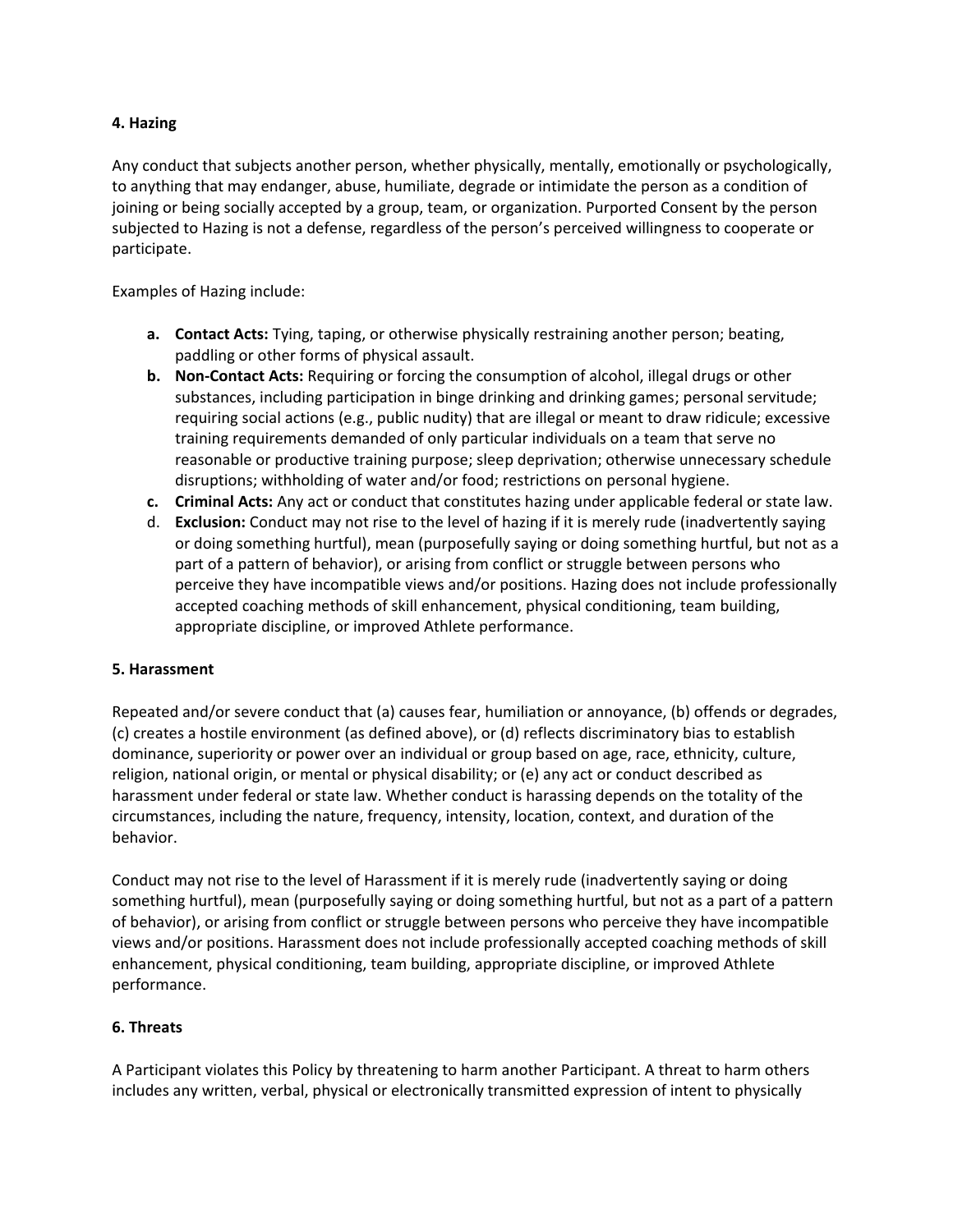# **4. Hazing**

Any conduct that subjects another person, whether physically, mentally, emotionally or psychologically, to anything that may endanger, abuse, humiliate, degrade or intimidate the person as a condition of joining or being socially accepted by a group, team, or organization. Purported Consent by the person subjected to Hazing is not a defense, regardless of the person's perceived willingness to cooperate or participate.

Examples of Hazing include:

- **a. Contact Acts:** Tying, taping, or otherwise physically restraining another person; beating, paddling or other forms of physical assault.
- **b. Non-Contact Acts:** Requiring or forcing the consumption of alcohol, illegal drugs or other substances, including participation in binge drinking and drinking games; personal servitude; requiring social actions (e.g., public nudity) that are illegal or meant to draw ridicule; excessive training requirements demanded of only particular individuals on a team that serve no reasonable or productive training purpose; sleep deprivation; otherwise unnecessary schedule disruptions; withholding of water and/or food; restrictions on personal hygiene.
- **c. Criminal Acts:** Any act or conduct that constitutes hazing under applicable federal or state law.
- d. **Exclusion:** Conduct may not rise to the level of hazing if it is merely rude (inadvertently saying or doing something hurtful), mean (purposefully saying or doing something hurtful, but not as a part of a pattern of behavior), or arising from conflict or struggle between persons who perceive they have incompatible views and/or positions. Hazing does not include professionally accepted coaching methods of skill enhancement, physical conditioning, team building, appropriate discipline, or improved Athlete performance.

# **5. Harassment**

Repeated and/or severe conduct that (a) causes fear, humiliation or annoyance, (b) offends or degrades, (c) creates a hostile environment (as defined above), or (d) reflects discriminatory bias to establish dominance, superiority or power over an individual or group based on age, race, ethnicity, culture, religion, national origin, or mental or physical disability; or (e) any act or conduct described as harassment under federal or state law. Whether conduct is harassing depends on the totality of the circumstances, including the nature, frequency, intensity, location, context, and duration of the behavior.

Conduct may not rise to the level of Harassment if it is merely rude (inadvertently saying or doing something hurtful), mean (purposefully saying or doing something hurtful, but not as a part of a pattern of behavior), or arising from conflict or struggle between persons who perceive they have incompatible views and/or positions. Harassment does not include professionally accepted coaching methods of skill enhancement, physical conditioning, team building, appropriate discipline, or improved Athlete performance.

# **6. Threats**

A Participant violates this Policy by threatening to harm another Participant. A threat to harm others includes any written, verbal, physical or electronically transmitted expression of intent to physically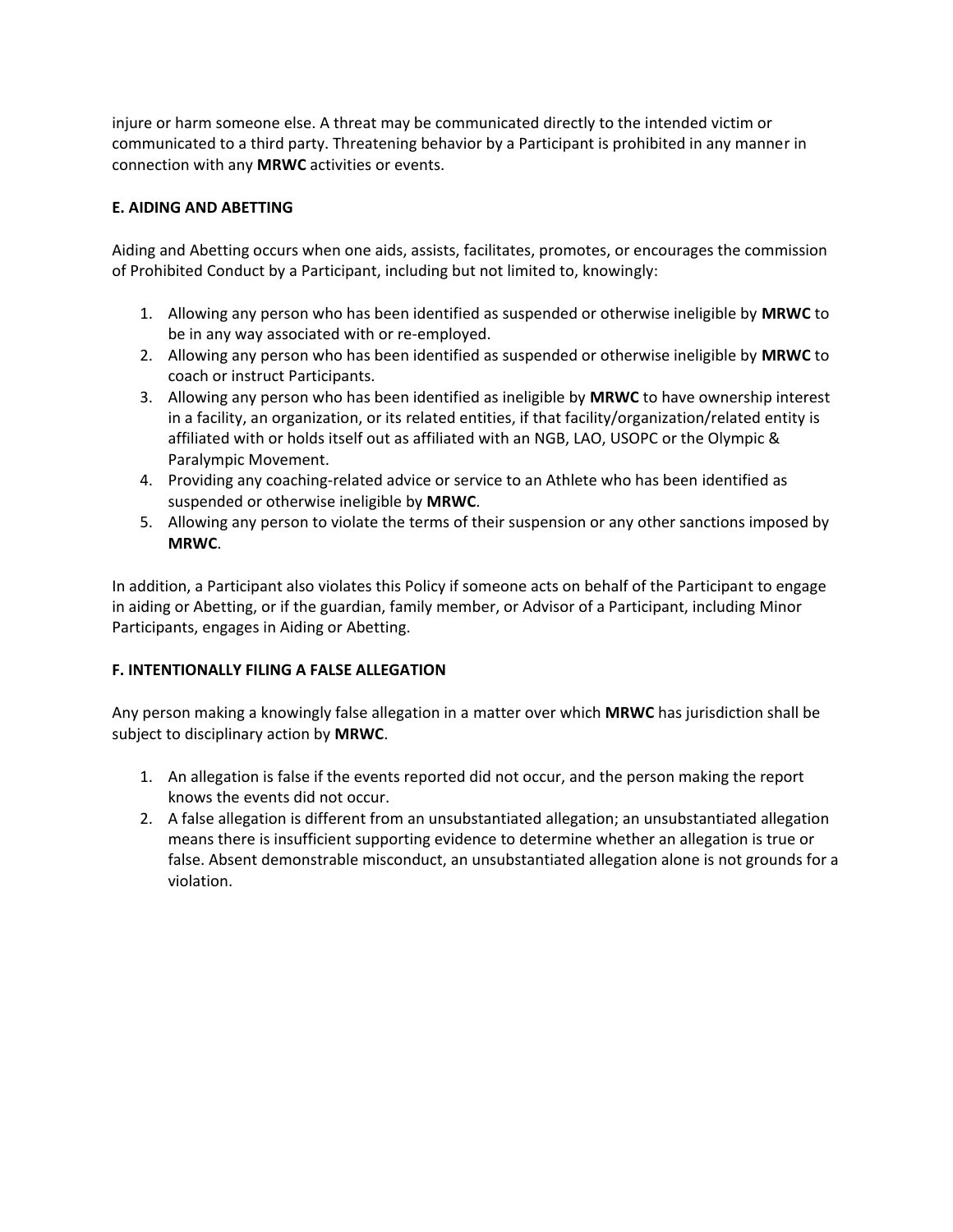injure or harm someone else. A threat may be communicated directly to the intended victim or communicated to a third party. Threatening behavior by a Participant is prohibited in any manner in connection with any **MRWC** activities or events.

# **E. AIDING AND ABETTING**

Aiding and Abetting occurs when one aids, assists, facilitates, promotes, or encourages the commission of Prohibited Conduct by a Participant, including but not limited to, knowingly:

- 1. Allowing any person who has been identified as suspended or otherwise ineligible by **MRWC** to be in any way associated with or re-employed.
- 2. Allowing any person who has been identified as suspended or otherwise ineligible by **MRWC** to coach or instruct Participants.
- 3. Allowing any person who has been identified as ineligible by **MRWC** to have ownership interest in a facility, an organization, or its related entities, if that facility/organization/related entity is affiliated with or holds itself out as affiliated with an NGB, LAO, USOPC or the Olympic & Paralympic Movement.
- 4. Providing any coaching-related advice or service to an Athlete who has been identified as suspended or otherwise ineligible by **MRWC**.
- 5. Allowing any person to violate the terms of their suspension or any other sanctions imposed by **MRWC**.

In addition, a Participant also violates this Policy if someone acts on behalf of the Participant to engage in aiding or Abetting, or if the guardian, family member, or Advisor of a Participant, including Minor Participants, engages in Aiding or Abetting.

# **F. INTENTIONALLY FILING A FALSE ALLEGATION**

Any person making a knowingly false allegation in a matter over which **MRWC** has jurisdiction shall be subject to disciplinary action by **MRWC**.

- 1. An allegation is false if the events reported did not occur, and the person making the report knows the events did not occur.
- 2. A false allegation is different from an unsubstantiated allegation; an unsubstantiated allegation means there is insufficient supporting evidence to determine whether an allegation is true or false. Absent demonstrable misconduct, an unsubstantiated allegation alone is not grounds for a violation.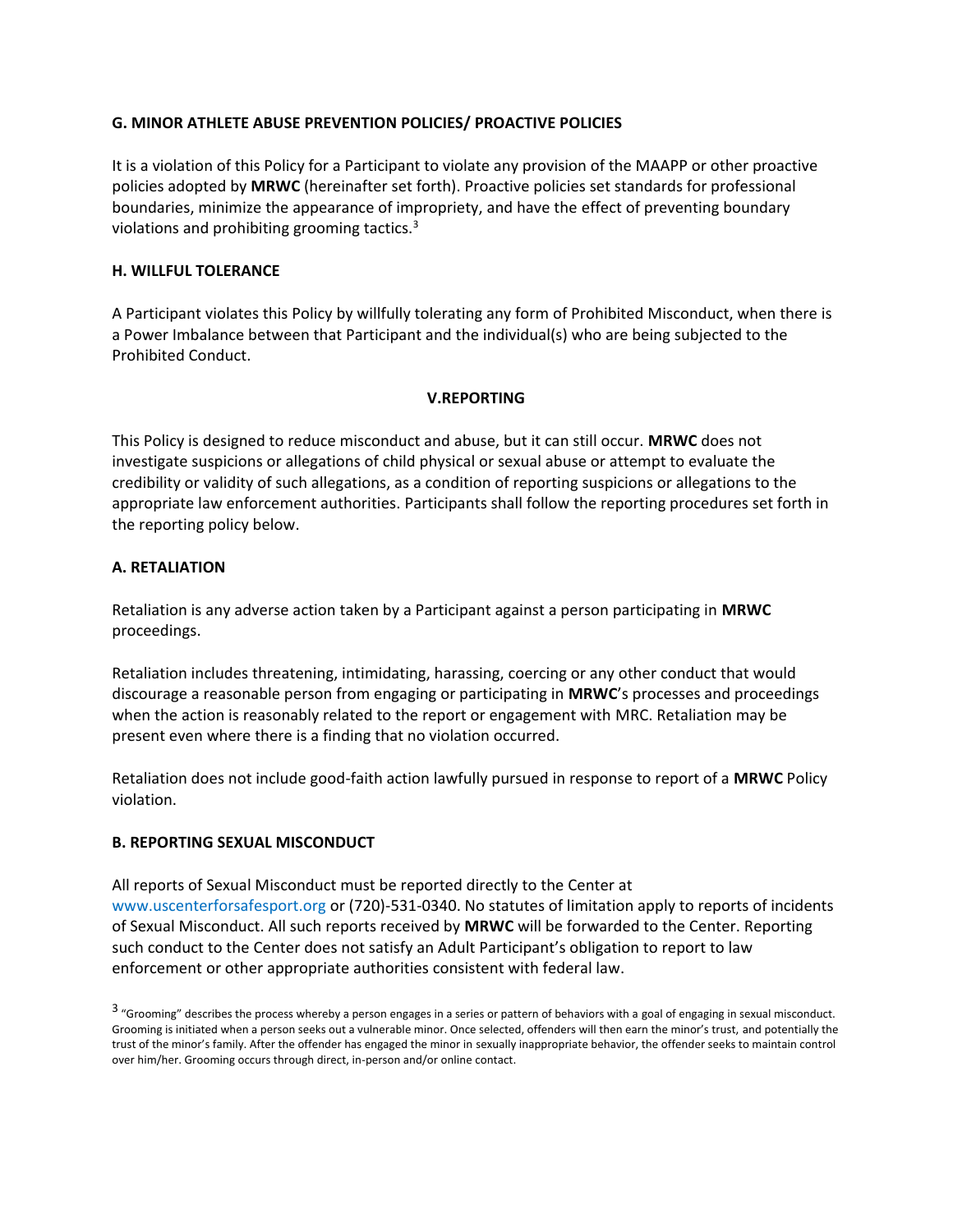# **G. MINOR ATHLETE ABUSE PREVENTION POLICIES/ PROACTIVE POLICIES**

It is a violation of this Policy for a Participant to violate any provision of the MAAPP or other proactive policies adopted by **MRWC** (hereinafter set forth). Proactive policies set standards for professional boundaries, minimize the appearance of impropriety, and have the effect of preventing boundary violations and prohibiting grooming tactics.<sup>3</sup>

# **H. WILLFUL TOLERANCE**

A Participant violates this Policy by willfully tolerating any form of Prohibited Misconduct, when there is a Power Imbalance between that Participant and the individual(s) who are being subjected to the Prohibited Conduct.

# **V.REPORTING**

This Policy is designed to reduce misconduct and abuse, but it can still occur. **MRWC** does not investigate suspicions or allegations of child physical or sexual abuse or attempt to evaluate the credibility or validity of such allegations, as a condition of reporting suspicions or allegations to the appropriate law enforcement authorities. Participants shall follow the reporting procedures set forth in the reporting policy below.

# **A. RETALIATION**

Retaliation is any adverse action taken by a Participant against a person participating in **MRWC** proceedings.

Retaliation includes threatening, intimidating, harassing, coercing or any other conduct that would discourage a reasonable person from engaging or participating in **MRWC**'s processes and proceedings when the action is reasonably related to the report or engagement with MRC. Retaliation may be present even where there is a finding that no violation occurred.

Retaliation does not include good-faith action lawfully pursued in response to report of a **MRWC** Policy violation.

# **B. REPORTING SEXUAL MISCONDUCT**

All reports of Sexual Misconduct must be reported directly to the Center at www.uscenterforsafesport.org or (720)-531-0340. No statutes of limitation apply to reports of incidents of Sexual Misconduct. All such reports received by **MRWC** will be forwarded to the Center. Reporting such conduct to the Center does not satisfy an Adult Participant's obligation to report to law enforcement or other appropriate authorities consistent with federal law.

<sup>3 &</sup>quot;Grooming" describes the process whereby a person engages in a series or pattern of behaviors with a goal of engaging in sexual misconduct. Grooming is initiated when a person seeks out a vulnerable minor. Once selected, offenders will then earn the minor's trust, and potentially the trust of the minor's family. After the offender has engaged the minor in sexually inappropriate behavior, the offender seeks to maintain control over him/her. Grooming occurs through direct, in-person and/or online contact.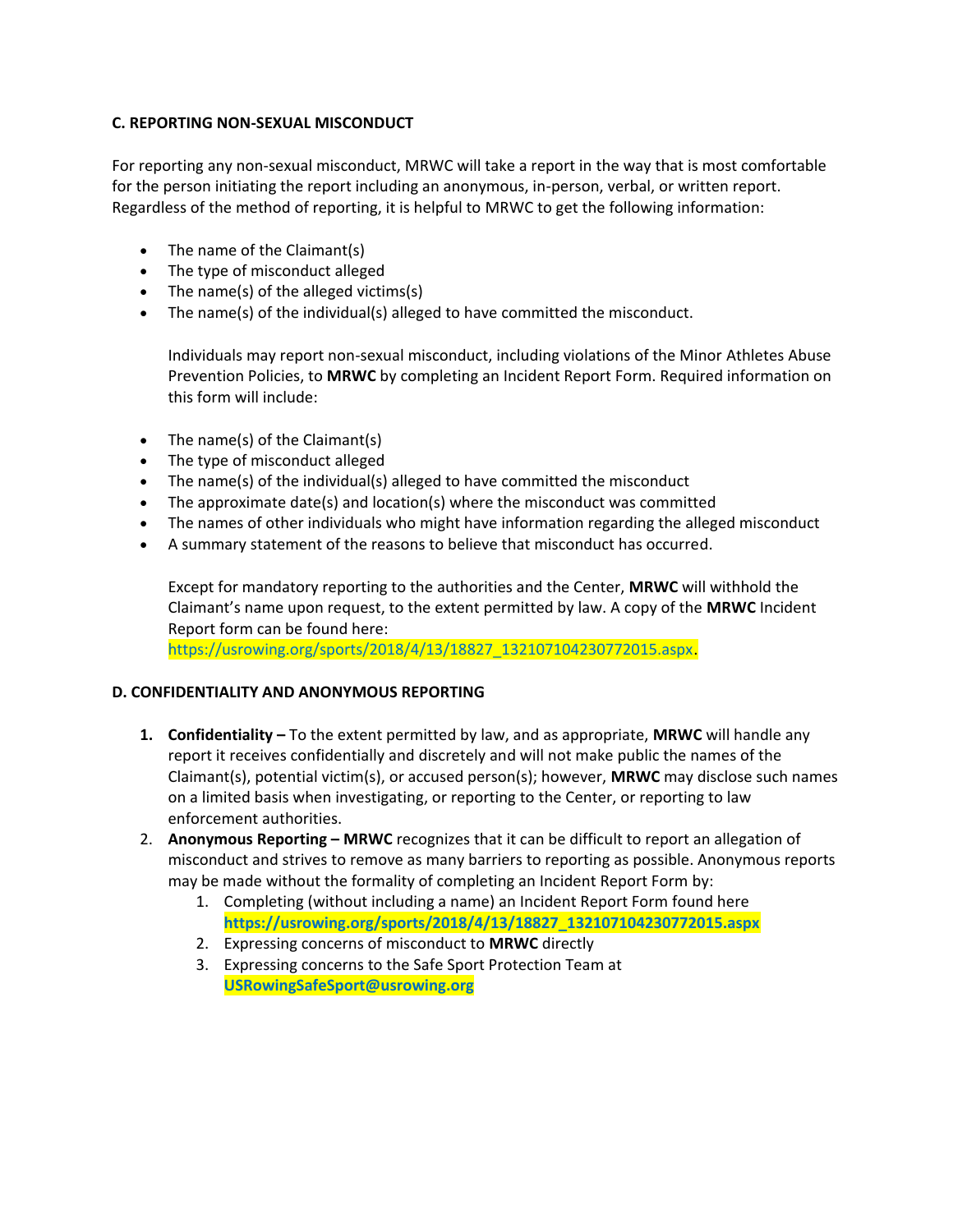# **C. REPORTING NON-SEXUAL MISCONDUCT**

For reporting any non-sexual misconduct, MRWC will take a report in the way that is most comfortable for the person initiating the report including an anonymous, in-person, verbal, or written report. Regardless of the method of reporting, it is helpful to MRWC to get the following information:

- The name of the Claimant(s)
- The type of misconduct alleged
- The name(s) of the alleged victims(s)
- The name(s) of the individual(s) alleged to have committed the misconduct.

Individuals may report non-sexual misconduct, including violations of the Minor Athletes Abuse Prevention Policies, to **MRWC** by completing an Incident Report Form. Required information on this form will include:

- The name(s) of the Claimant(s)
- The type of misconduct alleged
- The name(s) of the individual(s) alleged to have committed the misconduct
- The approximate date(s) and location(s) where the misconduct was committed
- The names of other individuals who might have information regarding the alleged misconduct
- A summary statement of the reasons to believe that misconduct has occurred.

Except for mandatory reporting to the authorities and the Center, **MRWC** will withhold the Claimant's name upon request, to the extent permitted by law. A copy of the **MRWC** Incident Report form can be found here:

https://usrowing.org/sports/2018/4/13/18827\_132107104230772015.aspx.

# **D. CONFIDENTIALITY AND ANONYMOUS REPORTING**

- **1. Confidentiality –** To the extent permitted by law, and as appropriate, **MRWC** will handle any report it receives confidentially and discretely and will not make public the names of the Claimant(s), potential victim(s), or accused person(s); however, **MRWC** may disclose such names on a limited basis when investigating, or reporting to the Center, or reporting to law enforcement authorities.
- 2. **Anonymous Reporting – MRWC** recognizes that it can be difficult to report an allegation of misconduct and strives to remove as many barriers to reporting as possible. Anonymous reports may be made without the formality of completing an Incident Report Form by:
	- 1. Completing (without including a name) an Incident Report Form found here **https://usrowing.org/sports/2018/4/13/18827\_132107104230772015.aspx**
	- 2. Expressing concerns of misconduct to **MRWC** directly
	- 3. Expressing concerns to the Safe Sport Protection Team at **USRowingSafeSport@usrowing.org**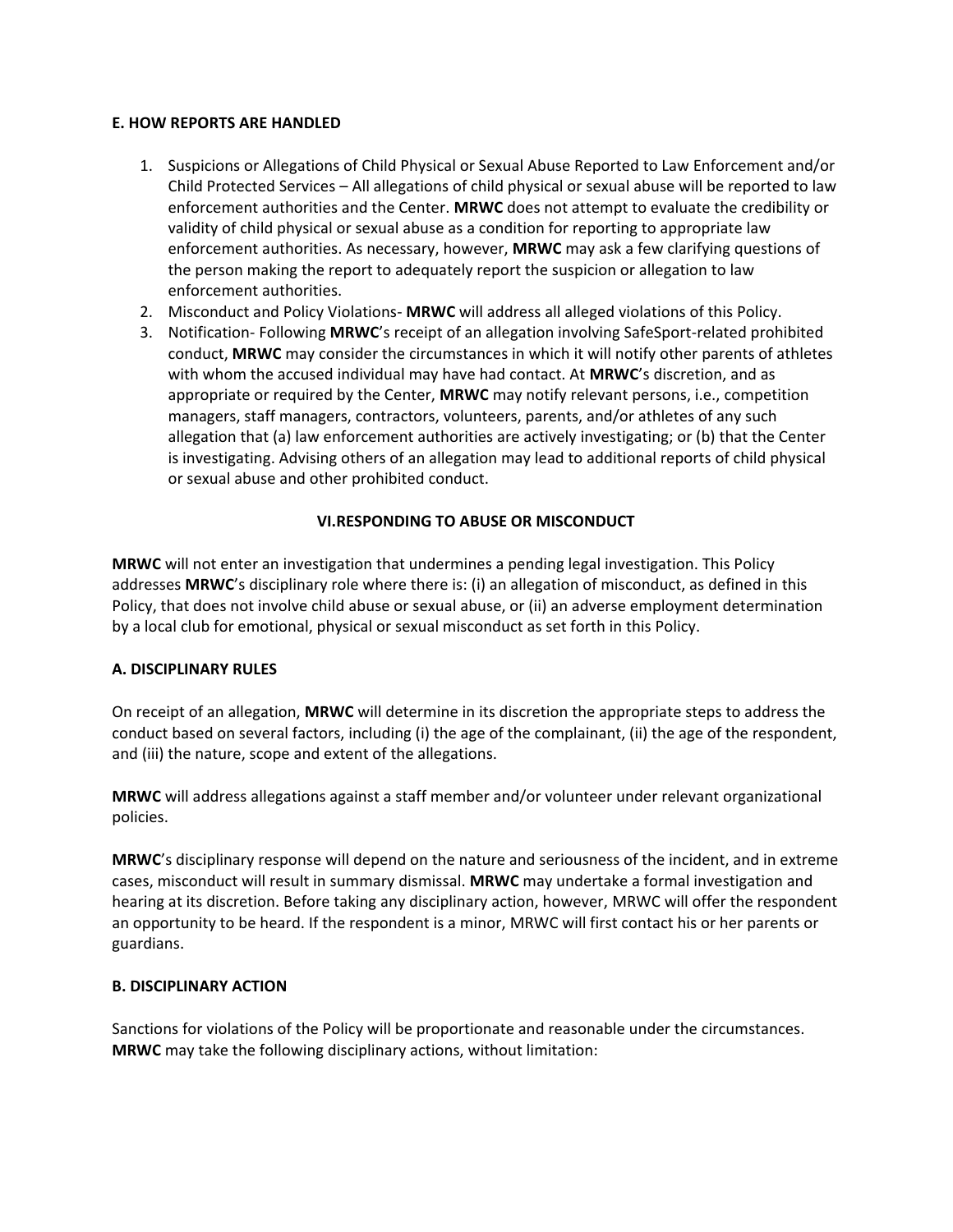# **E. HOW REPORTS ARE HANDLED**

- 1. Suspicions or Allegations of Child Physical or Sexual Abuse Reported to Law Enforcement and/or Child Protected Services – All allegations of child physical or sexual abuse will be reported to law enforcement authorities and the Center. **MRWC** does not attempt to evaluate the credibility or validity of child physical or sexual abuse as a condition for reporting to appropriate law enforcement authorities. As necessary, however, **MRWC** may ask a few clarifying questions of the person making the report to adequately report the suspicion or allegation to law enforcement authorities.
- 2. Misconduct and Policy Violations- **MRWC** will address all alleged violations of this Policy.
- 3. Notification- Following **MRWC**'s receipt of an allegation involving SafeSport-related prohibited conduct, **MRWC** may consider the circumstances in which it will notify other parents of athletes with whom the accused individual may have had contact. At **MRWC**'s discretion, and as appropriate or required by the Center, **MRWC** may notify relevant persons, i.e., competition managers, staff managers, contractors, volunteers, parents, and/or athletes of any such allegation that (a) law enforcement authorities are actively investigating; or (b) that the Center is investigating. Advising others of an allegation may lead to additional reports of child physical or sexual abuse and other prohibited conduct.

# **VI.RESPONDING TO ABUSE OR MISCONDUCT**

**MRWC** will not enter an investigation that undermines a pending legal investigation. This Policy addresses **MRWC**'s disciplinary role where there is: (i) an allegation of misconduct, as defined in this Policy, that does not involve child abuse or sexual abuse, or (ii) an adverse employment determination by a local club for emotional, physical or sexual misconduct as set forth in this Policy.

# **A. DISCIPLINARY RULES**

On receipt of an allegation, **MRWC** will determine in its discretion the appropriate steps to address the conduct based on several factors, including (i) the age of the complainant, (ii) the age of the respondent, and (iii) the nature, scope and extent of the allegations.

**MRWC** will address allegations against a staff member and/or volunteer under relevant organizational policies.

**MRWC**'s disciplinary response will depend on the nature and seriousness of the incident, and in extreme cases, misconduct will result in summary dismissal. **MRWC** may undertake a formal investigation and hearing at its discretion. Before taking any disciplinary action, however, MRWC will offer the respondent an opportunity to be heard. If the respondent is a minor, MRWC will first contact his or her parents or guardians.

#### **B. DISCIPLINARY ACTION**

Sanctions for violations of the Policy will be proportionate and reasonable under the circumstances. **MRWC** may take the following disciplinary actions, without limitation: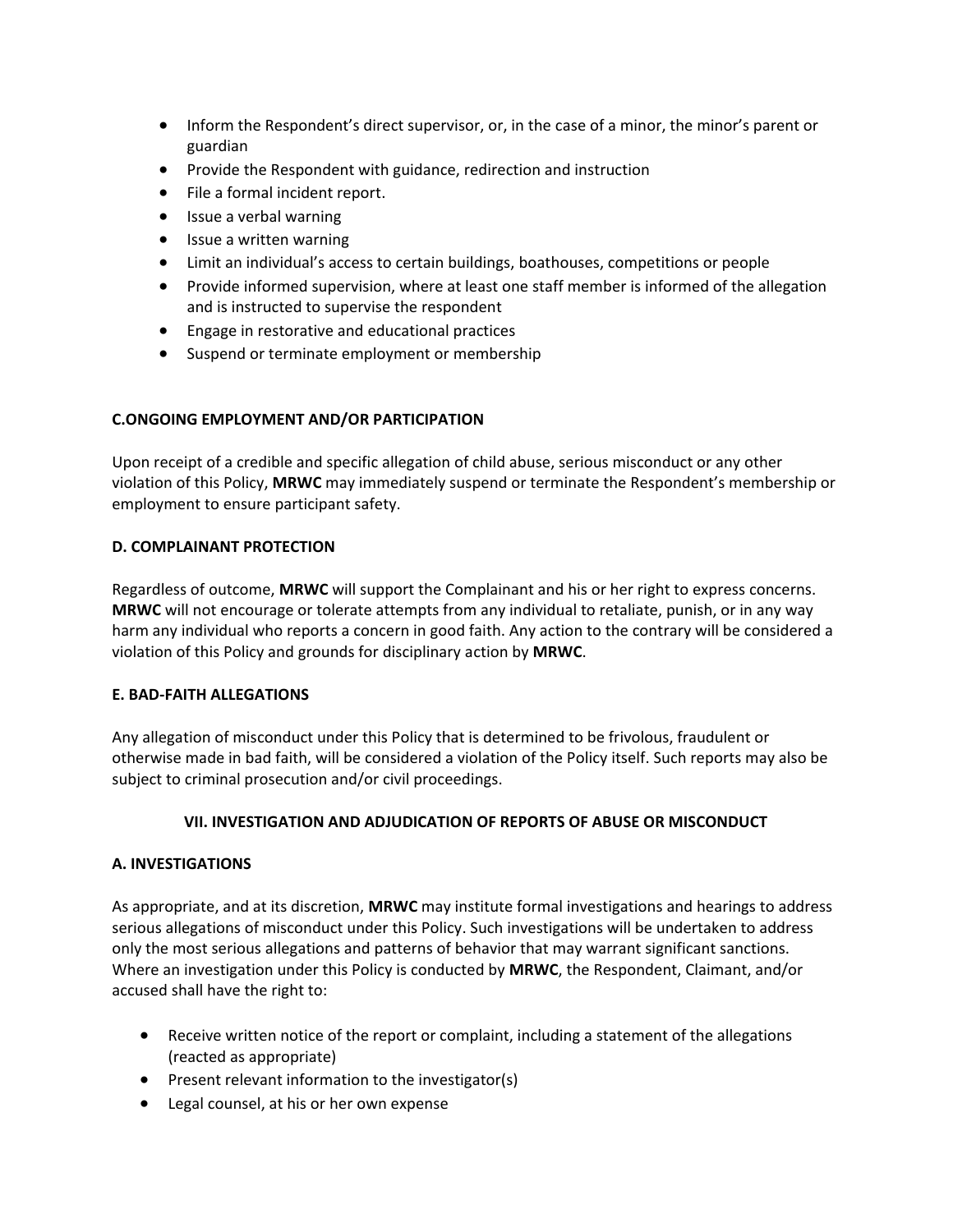- Inform the Respondent's direct supervisor, or, in the case of a minor, the minor's parent or guardian
- Provide the Respondent with guidance, redirection and instruction
- File a formal incident report.
- Issue a verbal warning
- Issue a written warning
- Limit an individual's access to certain buildings, boathouses, competitions or people
- Provide informed supervision, where at least one staff member is informed of the allegation and is instructed to supervise the respondent
- Engage in restorative and educational practices
- Suspend or terminate employment or membership

# **C.ONGOING EMPLOYMENT AND/OR PARTICIPATION**

Upon receipt of a credible and specific allegation of child abuse, serious misconduct or any other violation of this Policy, **MRWC** may immediately suspend or terminate the Respondent's membership or employment to ensure participant safety.

# **D. COMPLAINANT PROTECTION**

Regardless of outcome, **MRWC** will support the Complainant and his or her right to express concerns. **MRWC** will not encourage or tolerate attempts from any individual to retaliate, punish, or in any way harm any individual who reports a concern in good faith. Any action to the contrary will be considered a violation of this Policy and grounds for disciplinary action by **MRWC**.

# **E. BAD-FAITH ALLEGATIONS**

Any allegation of misconduct under this Policy that is determined to be frivolous, fraudulent or otherwise made in bad faith, will be considered a violation of the Policy itself. Such reports may also be subject to criminal prosecution and/or civil proceedings.

# **VII. INVESTIGATION AND ADJUDICATION OF REPORTS OF ABUSE OR MISCONDUCT**

# **A. INVESTIGATIONS**

As appropriate, and at its discretion, **MRWC** may institute formal investigations and hearings to address serious allegations of misconduct under this Policy. Such investigations will be undertaken to address only the most serious allegations and patterns of behavior that may warrant significant sanctions. Where an investigation under this Policy is conducted by **MRWC**, the Respondent, Claimant, and/or accused shall have the right to:

- Receive written notice of the report or complaint, including a statement of the allegations (reacted as appropriate)
- $\bullet$  Present relevant information to the investigator(s)
- Legal counsel, at his or her own expense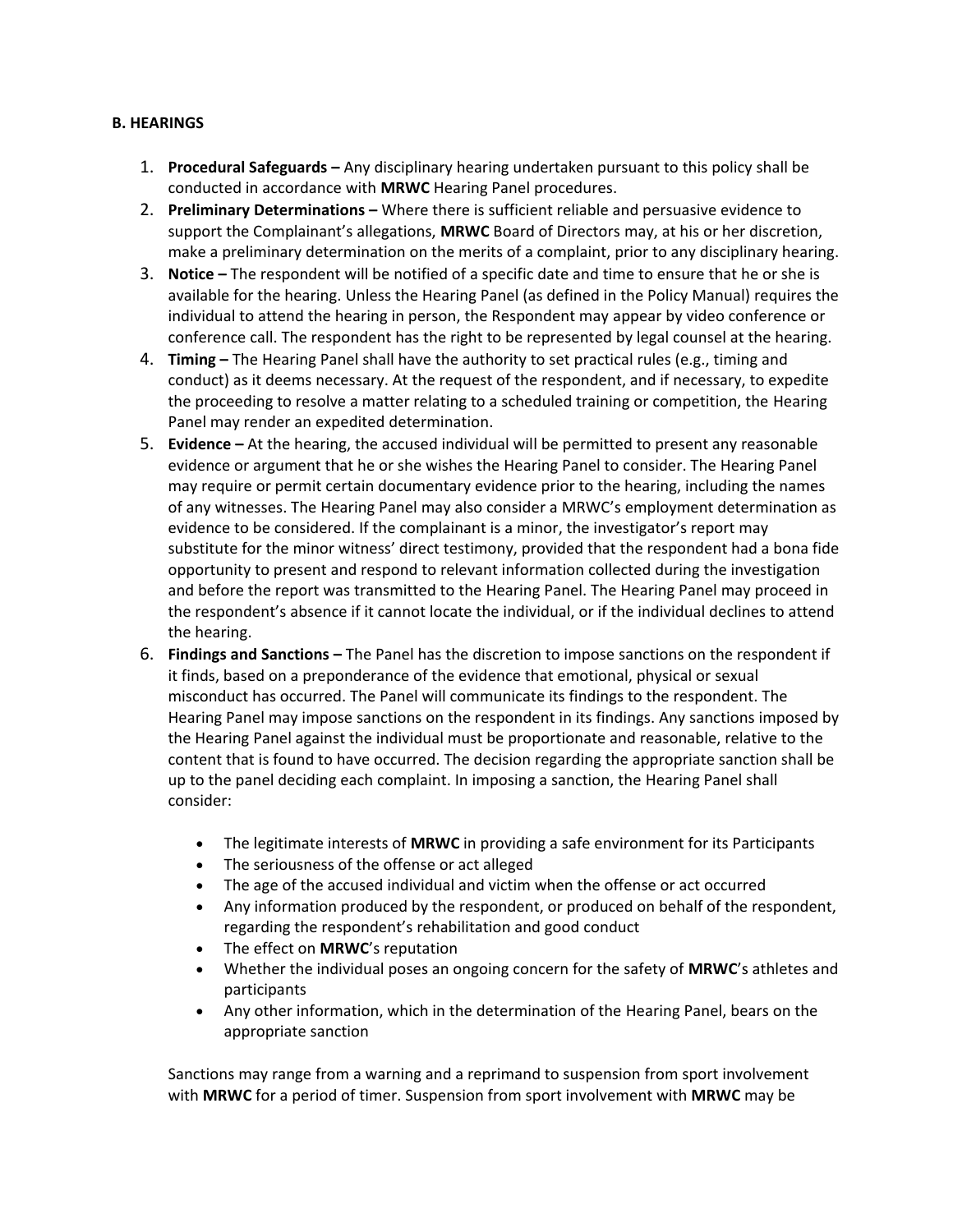# **B. HEARINGS**

- 1. **Procedural Safeguards –** Any disciplinary hearing undertaken pursuant to this policy shall be conducted in accordance with **MRWC** Hearing Panel procedures.
- 2. **Preliminary Determinations –** Where there is sufficient reliable and persuasive evidence to support the Complainant's allegations, **MRWC** Board of Directors may, at his or her discretion, make a preliminary determination on the merits of a complaint, prior to any disciplinary hearing.
- 3. **Notice –** The respondent will be notified of a specific date and time to ensure that he or she is available for the hearing. Unless the Hearing Panel (as defined in the Policy Manual) requires the individual to attend the hearing in person, the Respondent may appear by video conference or conference call. The respondent has the right to be represented by legal counsel at the hearing.
- 4. **Timing –** The Hearing Panel shall have the authority to set practical rules (e.g., timing and conduct) as it deems necessary. At the request of the respondent, and if necessary, to expedite the proceeding to resolve a matter relating to a scheduled training or competition, the Hearing Panel may render an expedited determination.
- 5. **Evidence –** At the hearing, the accused individual will be permitted to present any reasonable evidence or argument that he or she wishes the Hearing Panel to consider. The Hearing Panel may require or permit certain documentary evidence prior to the hearing, including the names of any witnesses. The Hearing Panel may also consider a MRWC's employment determination as evidence to be considered. If the complainant is a minor, the investigator's report may substitute for the minor witness' direct testimony, provided that the respondent had a bona fide opportunity to present and respond to relevant information collected during the investigation and before the report was transmitted to the Hearing Panel. The Hearing Panel may proceed in the respondent's absence if it cannot locate the individual, or if the individual declines to attend the hearing.
- 6. **Findings and Sanctions –** The Panel has the discretion to impose sanctions on the respondent if it finds, based on a preponderance of the evidence that emotional, physical or sexual misconduct has occurred. The Panel will communicate its findings to the respondent. The Hearing Panel may impose sanctions on the respondent in its findings. Any sanctions imposed by the Hearing Panel against the individual must be proportionate and reasonable, relative to the content that is found to have occurred. The decision regarding the appropriate sanction shall be up to the panel deciding each complaint. In imposing a sanction, the Hearing Panel shall consider:
	- The legitimate interests of **MRWC** in providing a safe environment for its Participants
	- The seriousness of the offense or act alleged
	- The age of the accused individual and victim when the offense or act occurred
	- Any information produced by the respondent, or produced on behalf of the respondent, regarding the respondent's rehabilitation and good conduct
	- The effect on **MRWC**'s reputation
	- Whether the individual poses an ongoing concern for the safety of **MRWC**'s athletes and participants
	- Any other information, which in the determination of the Hearing Panel, bears on the appropriate sanction

Sanctions may range from a warning and a reprimand to suspension from sport involvement with **MRWC** for a period of timer. Suspension from sport involvement with **MRWC** may be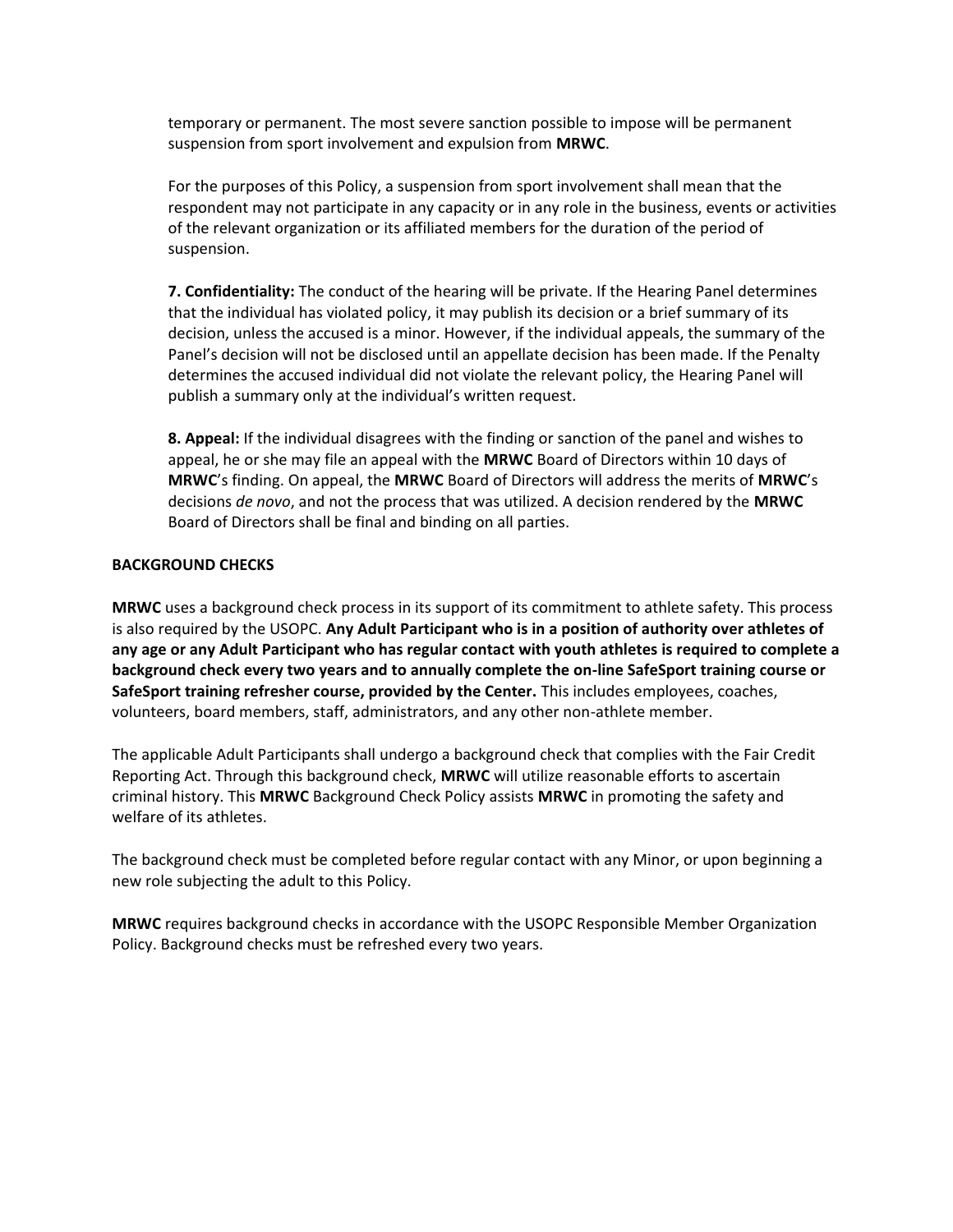temporary or permanent. The most severe sanction possible to impose will be permanent suspension from sport involvement and expulsion from **MRWC**.

For the purposes of this Policy, a suspension from sport involvement shall mean that the respondent may not participate in any capacity or in any role in the business, events or activities of the relevant organization or its affiliated members for the duration of the period of suspension.

**7. Confidentiality:** The conduct of the hearing will be private. If the Hearing Panel determines that the individual has violated policy, it may publish its decision or a brief summary of its decision, unless the accused is a minor. However, if the individual appeals, the summary of the Panel's decision will not be disclosed until an appellate decision has been made. If the Penalty determines the accused individual did not violate the relevant policy, the Hearing Panel will publish a summary only at the individual's written request.

**8. Appeal:** If the individual disagrees with the finding or sanction of the panel and wishes to appeal, he or she may file an appeal with the **MRWC** Board of Directors within 10 days of **MRWC**'s finding. On appeal, the **MRWC** Board of Directors will address the merits of **MRWC**'s decisions *de novo*, and not the process that was utilized. A decision rendered by the **MRWC** Board of Directors shall be final and binding on all parties.

# **BACKGROUND CHECKS**

**MRWC** uses a background check process in its support of its commitment to athlete safety. This process is also required by the USOPC. **Any Adult Participant who is in a position of authority over athletes of any age or any Adult Participant who has regular contact with youth athletes is required to complete a background check every two years and to annually complete the on-line SafeSport training course or SafeSport training refresher course, provided by the Center.** This includes employees, coaches, volunteers, board members, staff, administrators, and any other non-athlete member.

The applicable Adult Participants shall undergo a background check that complies with the Fair Credit Reporting Act. Through this background check, **MRWC** will utilize reasonable efforts to ascertain criminal history. This **MRWC** Background Check Policy assists **MRWC** in promoting the safety and welfare of its athletes.

The background check must be completed before regular contact with any Minor, or upon beginning a new role subjecting the adult to this Policy.

**MRWC** requires background checks in accordance with the USOPC Responsible Member Organization Policy. Background checks must be refreshed every two years.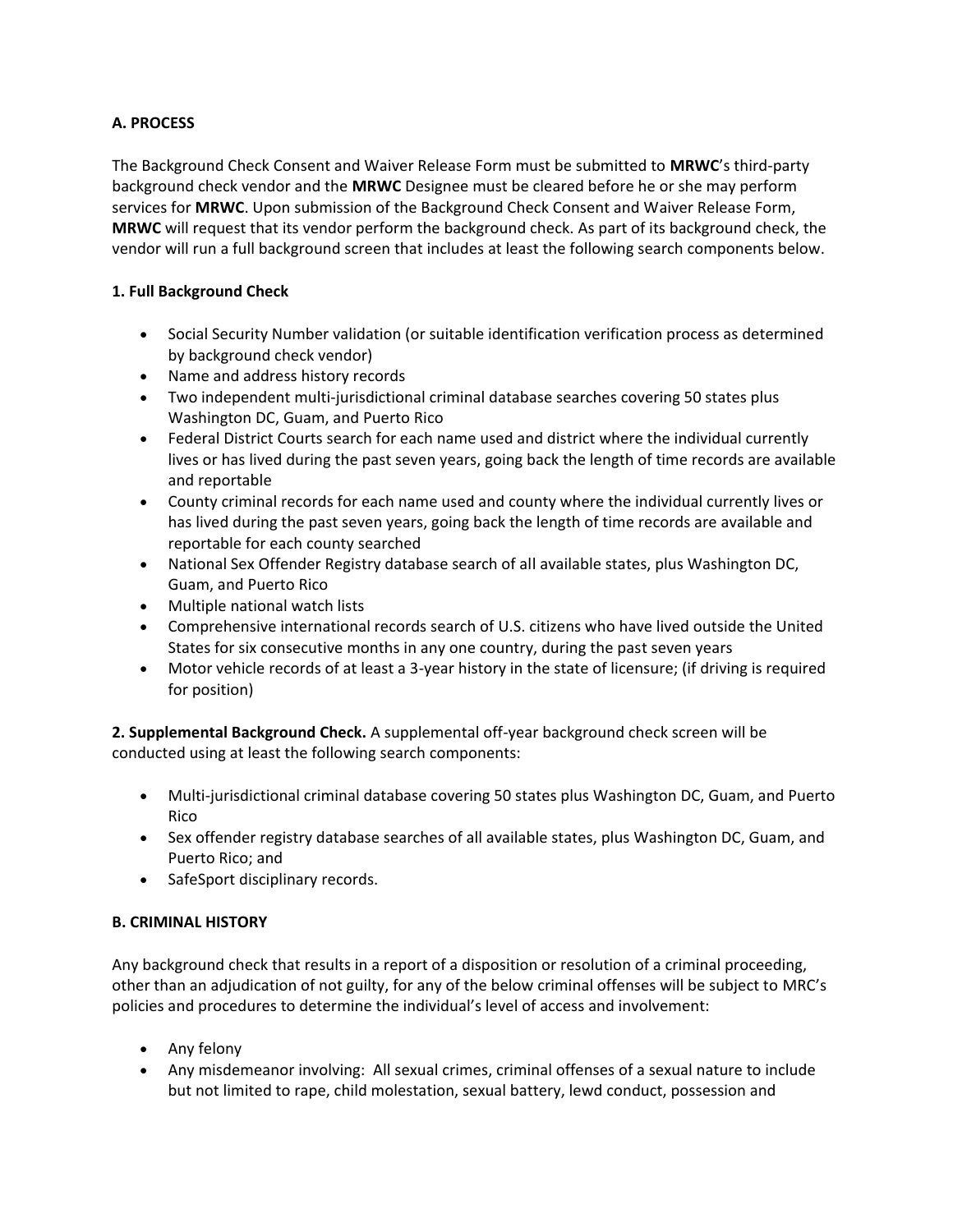# **A. PROCESS**

The Background Check Consent and Waiver Release Form must be submitted to **MRWC**'s third-party background check vendor and the **MRWC** Designee must be cleared before he or she may perform services for **MRWC**. Upon submission of the Background Check Consent and Waiver Release Form, **MRWC** will request that its vendor perform the background check. As part of its background check, the vendor will run a full background screen that includes at least the following search components below.

# **1. Full Background Check**

- Social Security Number validation (or suitable identification verification process as determined by background check vendor)
- Name and address history records
- Two independent multi-jurisdictional criminal database searches covering 50 states plus Washington DC, Guam, and Puerto Rico
- Federal District Courts search for each name used and district where the individual currently lives or has lived during the past seven years, going back the length of time records are available and reportable
- County criminal records for each name used and county where the individual currently lives or has lived during the past seven years, going back the length of time records are available and reportable for each county searched
- National Sex Offender Registry database search of all available states, plus Washington DC, Guam, and Puerto Rico
- Multiple national watch lists
- Comprehensive international records search of U.S. citizens who have lived outside the United States for six consecutive months in any one country, during the past seven years
- Motor vehicle records of at least a 3-year history in the state of licensure; (if driving is required for position)

**2. Supplemental Background Check.** A supplemental off-year background check screen will be conducted using at least the following search components:

- Multi-jurisdictional criminal database covering 50 states plus Washington DC, Guam, and Puerto Rico
- Sex offender registry database searches of all available states, plus Washington DC, Guam, and Puerto Rico; and
- SafeSport disciplinary records.

# **B. CRIMINAL HISTORY**

Any background check that results in a report of a disposition or resolution of a criminal proceeding, other than an adjudication of not guilty, for any of the below criminal offenses will be subject to MRC's policies and procedures to determine the individual's level of access and involvement:

- Any felony
- Any misdemeanor involving: All sexual crimes, criminal offenses of a sexual nature to include but not limited to rape, child molestation, sexual battery, lewd conduct, possession and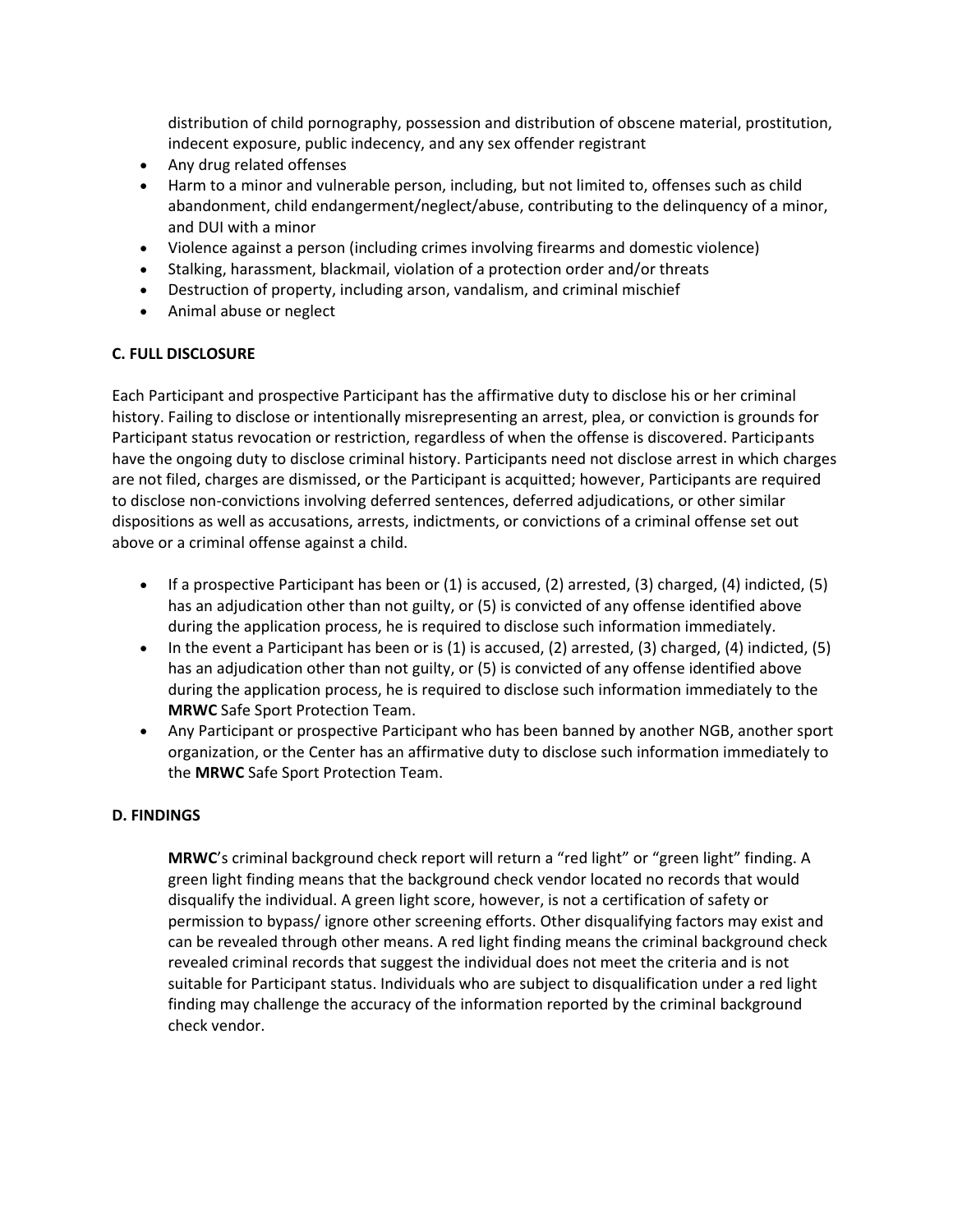distribution of child pornography, possession and distribution of obscene material, prostitution, indecent exposure, public indecency, and any sex offender registrant

- Any drug related offenses
- Harm to a minor and vulnerable person, including, but not limited to, offenses such as child abandonment, child endangerment/neglect/abuse, contributing to the delinquency of a minor, and DUI with a minor
- Violence against a person (including crimes involving firearms and domestic violence)
- Stalking, harassment, blackmail, violation of a protection order and/or threats
- Destruction of property, including arson, vandalism, and criminal mischief
- Animal abuse or neglect

# **C. FULL DISCLOSURE**

Each Participant and prospective Participant has the affirmative duty to disclose his or her criminal history. Failing to disclose or intentionally misrepresenting an arrest, plea, or conviction is grounds for Participant status revocation or restriction, regardless of when the offense is discovered. Participants have the ongoing duty to disclose criminal history. Participants need not disclose arrest in which charges are not filed, charges are dismissed, or the Participant is acquitted; however, Participants are required to disclose non-convictions involving deferred sentences, deferred adjudications, or other similar dispositions as well as accusations, arrests, indictments, or convictions of a criminal offense set out above or a criminal offense against a child.

- **If a prospective Participant has been or (1) is accused, (2) arrested, (3) charged, (4) indicted, (5)** has an adjudication other than not guilty, or (5) is convicted of any offense identified above during the application process, he is required to disclose such information immediately.
- In the event a Participant has been or is (1) is accused, (2) arrested, (3) charged, (4) indicted, (5) has an adjudication other than not guilty, or (5) is convicted of any offense identified above during the application process, he is required to disclose such information immediately to the **MRWC** Safe Sport Protection Team.
- Any Participant or prospective Participant who has been banned by another NGB, another sport organization, or the Center has an affirmative duty to disclose such information immediately to the **MRWC** Safe Sport Protection Team.

# **D. FINDINGS**

**MRWC**'s criminal background check report will return a "red light" or "green light" finding. A green light finding means that the background check vendor located no records that would disqualify the individual. A green light score, however, is not a certification of safety or permission to bypass/ ignore other screening efforts. Other disqualifying factors may exist and can be revealed through other means. A red light finding means the criminal background check revealed criminal records that suggest the individual does not meet the criteria and is not suitable for Participant status. Individuals who are subject to disqualification under a red light finding may challenge the accuracy of the information reported by the criminal background check vendor.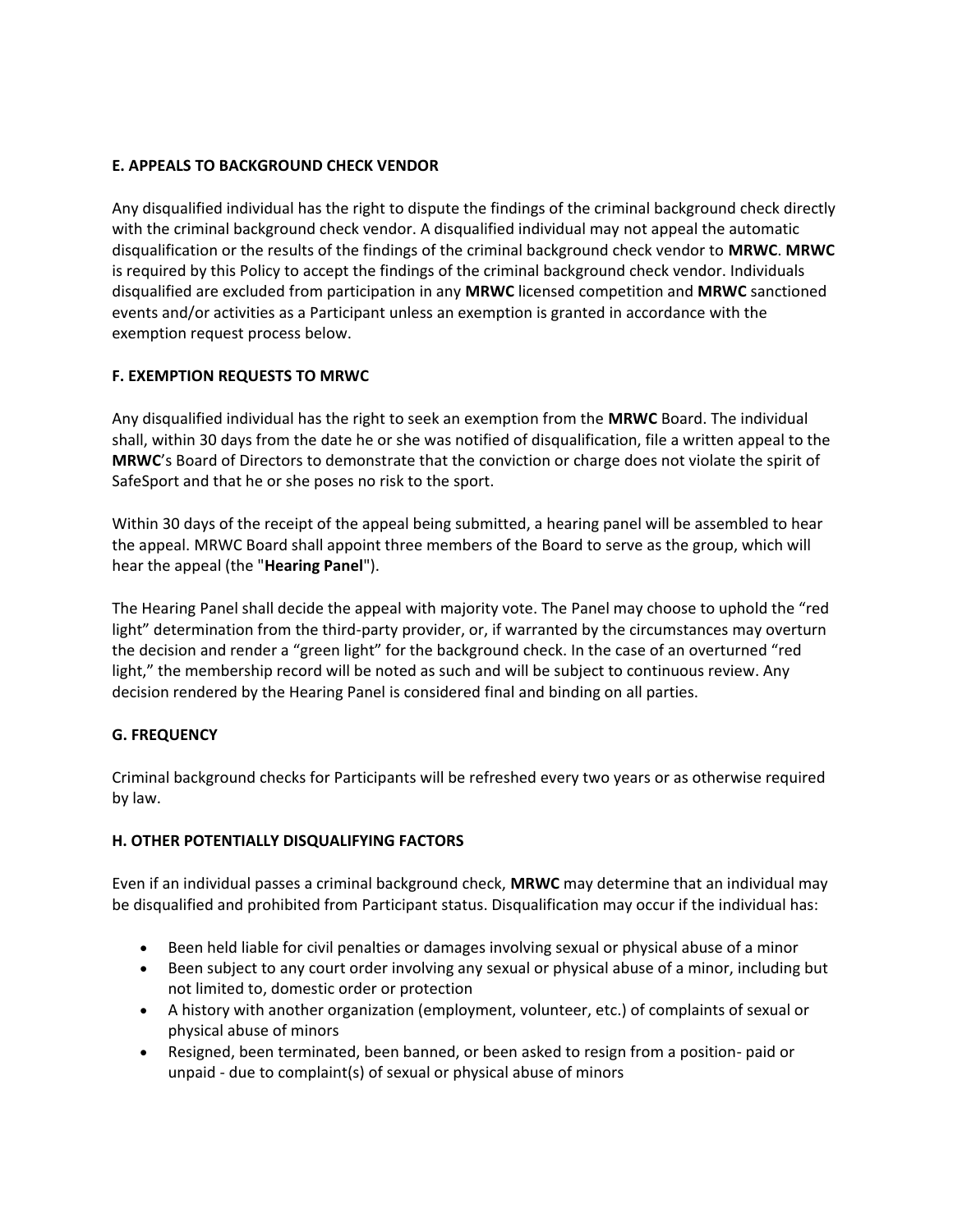# **E. APPEALS TO BACKGROUND CHECK VENDOR**

Any disqualified individual has the right to dispute the findings of the criminal background check directly with the criminal background check vendor. A disqualified individual may not appeal the automatic disqualification or the results of the findings of the criminal background check vendor to **MRWC**. **MRWC** is required by this Policy to accept the findings of the criminal background check vendor. Individuals disqualified are excluded from participation in any **MRWC** licensed competition and **MRWC** sanctioned events and/or activities as a Participant unless an exemption is granted in accordance with the exemption request process below.

# **F. EXEMPTION REQUESTS TO MRWC**

Any disqualified individual has the right to seek an exemption from the **MRWC** Board. The individual shall, within 30 days from the date he or she was notified of disqualification, file a written appeal to the **MRWC**'s Board of Directors to demonstrate that the conviction or charge does not violate the spirit of SafeSport and that he or she poses no risk to the sport.

Within 30 days of the receipt of the appeal being submitted, a hearing panel will be assembled to hear the appeal. MRWC Board shall appoint three members of the Board to serve as the group, which will hear the appeal (the "**Hearing Panel**").

The Hearing Panel shall decide the appeal with majority vote. The Panel may choose to uphold the "red light" determination from the third-party provider, or, if warranted by the circumstances may overturn the decision and render a "green light" for the background check. In the case of an overturned "red light," the membership record will be noted as such and will be subject to continuous review. Any decision rendered by the Hearing Panel is considered final and binding on all parties.

# **G. FREQUENCY**

Criminal background checks for Participants will be refreshed every two years or as otherwise required by law.

# **H. OTHER POTENTIALLY DISQUALIFYING FACTORS**

Even if an individual passes a criminal background check, **MRWC** may determine that an individual may be disqualified and prohibited from Participant status. Disqualification may occur if the individual has:

- Been held liable for civil penalties or damages involving sexual or physical abuse of a minor
- Been subject to any court order involving any sexual or physical abuse of a minor, including but not limited to, domestic order or protection
- A history with another organization (employment, volunteer, etc.) of complaints of sexual or physical abuse of minors
- Resigned, been terminated, been banned, or been asked to resign from a position- paid or unpaid - due to complaint(s) of sexual or physical abuse of minors